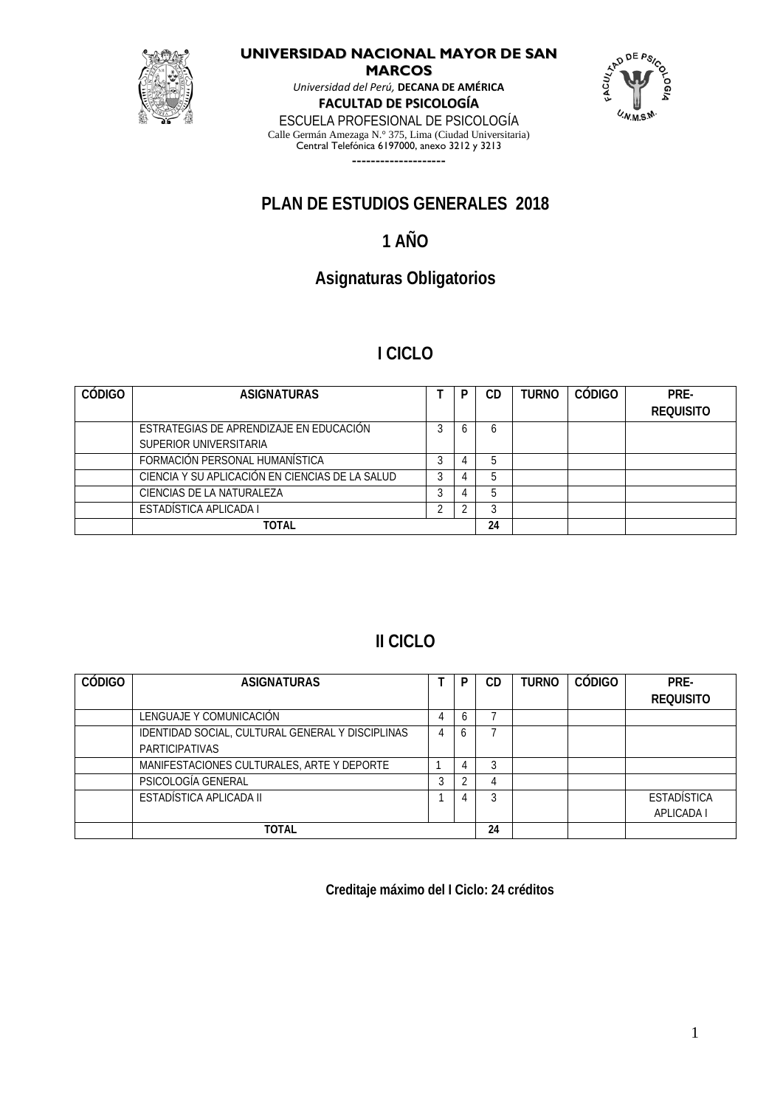

#### **UNIVERSIDAD NACIONAL MAYOR DE SAN MARCOS**

*Universidad del Perú,* **DECANA DE AMÉRICA FACULTAD DE PSICOLOGÍA** ESCUELA PROFESIONAL DE PSICOLOGÍA Calle Germán Amezaga N.° 375, Lima (Ciudad Universitaria) Central Telefónica 6197000, anexo 3212 y 3213 --------------------



### **PLAN DE ESTUDIOS GENERALES 2018**

# **1 AÑO**

### **Asignaturas Obligatorios**

### **I CICLO**

| <b>CÓDIGO</b> | <b>ASIGNATURAS</b>                              | P | CD | <b>TURNO</b> | <b>CÓDIGO</b> | PRF-             |
|---------------|-------------------------------------------------|---|----|--------------|---------------|------------------|
|               |                                                 |   |    |              |               | <b>REQUISITO</b> |
|               | ESTRATEGIAS DE APRENDIZAJE EN EDUCACIÓN         | h |    |              |               |                  |
|               | SUPERIOR UNIVERSITARIA                          |   |    |              |               |                  |
|               | FORMACIÓN PERSONAL HUMANÍSTICA                  | 4 |    |              |               |                  |
|               | CIENCIA Y SU APLICACIÓN EN CIENCIAS DE LA SALUD |   |    |              |               |                  |
|               | CIENCIAS DE LA NATURALEZA                       | 4 |    |              |               |                  |
|               | ESTADÍSTICA APLICADA I                          |   |    |              |               |                  |
|               | TOTAL                                           |   | 24 |              |               |                  |

### **II CICLO**

| <b>CÓDIGO</b> | ASIGNATURAS                                                               |   | P | CD | <b>TURNO</b> | <b>CÓDIGO</b> | PRF-                             |
|---------------|---------------------------------------------------------------------------|---|---|----|--------------|---------------|----------------------------------|
|               |                                                                           |   |   |    |              |               | <b>REQUISITO</b>                 |
|               | LENGUAJE Y COMUNICACIÓN                                                   |   |   |    |              |               |                                  |
|               | IDENTIDAD SOCIAL, CULTURAL GENERAL Y DISCIPLINAS<br><b>PARTICIPATIVAS</b> | 4 |   |    |              |               |                                  |
|               | MANIFESTACIONES CULTURALES, ARTE Y DEPORTE                                |   |   |    |              |               |                                  |
|               | PSICOLOGÍA GENERAL                                                        |   |   | 4  |              |               |                                  |
|               | ESTADÍSTICA APLICADA II                                                   |   | 4 |    |              |               | <b>ESTADÍSTICA</b><br>APLICADA I |
|               | TOTAL                                                                     |   |   | 24 |              |               |                                  |

 **Creditaje máximo del I Ciclo: 24 créditos**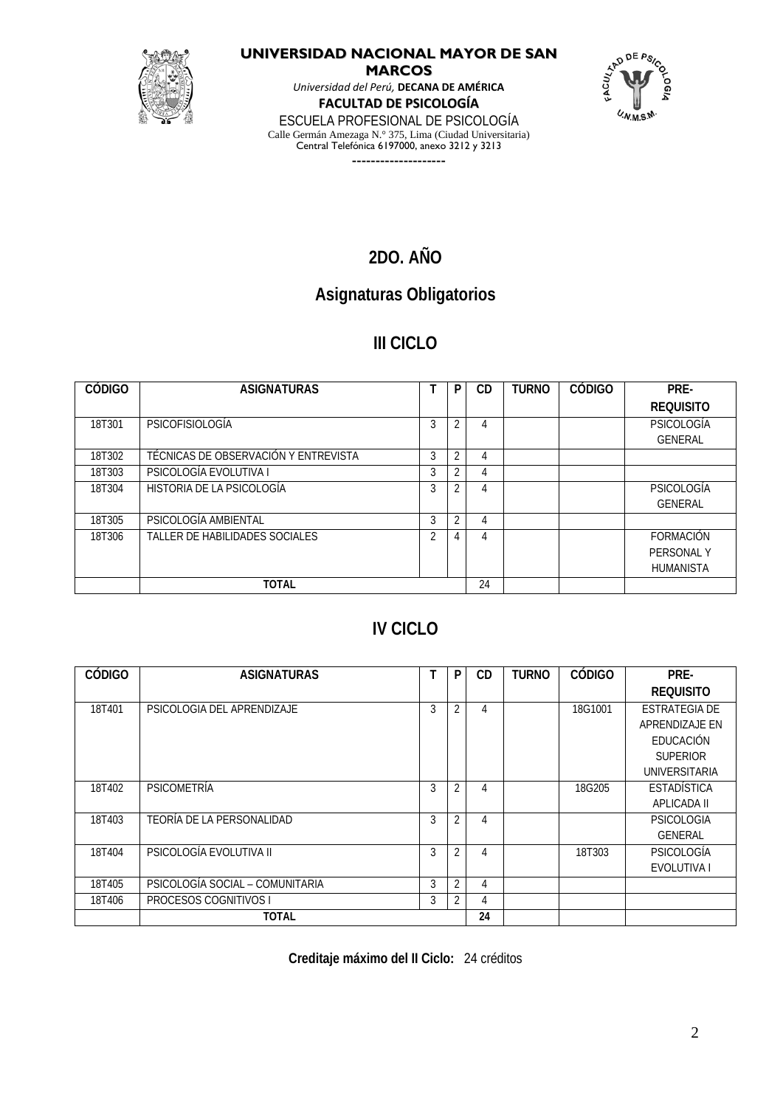

--------------------



# **2DO. AÑO**

### **Asignaturas Obligatorios**

# **III CICLO**

| <b>CÓDIGO</b> | <b>ASIGNATURAS</b>                   |   | P | CD | TURNO | <b>CÓDIGO</b> | PRE-             |
|---------------|--------------------------------------|---|---|----|-------|---------------|------------------|
|               |                                      |   |   |    |       |               | <b>REQUISITO</b> |
| 18T301        | PSICOFISIOLOGÍA                      | 3 | 2 | 4  |       |               | PSICOLOGÍA       |
|               |                                      |   |   |    |       |               | GENERAL          |
| 18T302        | TÉCNICAS DE OBSERVACIÓN Y ENTREVISTA | 3 | 2 | 4  |       |               |                  |
| 18T303        | PSICOLOGÍA EVOLUTIVA I               | 3 | 2 | 4  |       |               |                  |
| 18T304        | HISTORIA DE LA PSICOLOGÍA            | 3 | 2 |    |       |               | PSICOLOGÍA       |
|               |                                      |   |   |    |       |               | GENERAL          |
| 18T305        | PSICOLOGÍA AMBIENTAL                 | 3 | 2 | 4  |       |               |                  |
| 18T306        | TALLER DE HABILIDADES SOCIALES       | ◠ | 4 | 4  |       |               | <b>FORMACIÓN</b> |
|               |                                      |   |   |    |       |               | PERSONAL Y       |
|               |                                      |   |   |    |       |               | <b>HUMANISTA</b> |
|               | <b>TOTAL</b>                         |   |   | 24 |       |               |                  |

# **IV CICLO**

| <b>CÓDIGO</b> | <b>ASIGNATURAS</b>              |   | P              | <b>CD</b> | <b>TURNO</b> | <b>CÓDIGO</b> | PRE-                 |
|---------------|---------------------------------|---|----------------|-----------|--------------|---------------|----------------------|
|               |                                 |   |                |           |              |               | <b>REQUISITO</b>     |
| 18T401        | PSICOLOGIA DEL APRENDIZAJE      | 3 | $\overline{2}$ | 4         |              | 18G1001       | <b>ESTRATEGIA DE</b> |
|               |                                 |   |                |           |              |               | APRENDIZAJE EN       |
|               |                                 |   |                |           |              |               | EDUCACIÓN            |
|               |                                 |   |                |           |              |               | <b>SUPERIOR</b>      |
|               |                                 |   |                |           |              |               | UNIVERSITARIA        |
| 18T402        | <b>PSICOMETRÍA</b>              | 3 | 2              | 4         |              | 18G205        | <b>ESTADÍSTICA</b>   |
|               |                                 |   |                |           |              |               | APLICADA II          |
| 18T403        | TEORÍA DE LA PERSONALIDAD       | 3 | 2              | 4         |              |               | <b>PSICOLOGIA</b>    |
|               |                                 |   |                |           |              |               | <b>GENERAL</b>       |
| 18T404        | PSICOLOGÍA EVOLUTIVA II         | 3 | $\overline{2}$ | 4         |              | 18T303        | PSICOLOGÍA           |
|               |                                 |   |                |           |              |               | EVOLUTIVA I          |
| 18T405        | PSICOLOGÍA SOCIAL - COMUNITARIA | 3 | $\overline{2}$ | 4         |              |               |                      |
| 18T406        | <b>PROCESOS COGNITIVOS I</b>    | 3 | 2              | 4         |              |               |                      |
|               | <b>TOTAL</b>                    |   |                | 24        |              |               |                      |

**Creditaje máximo del II Ciclo:** 24 créditos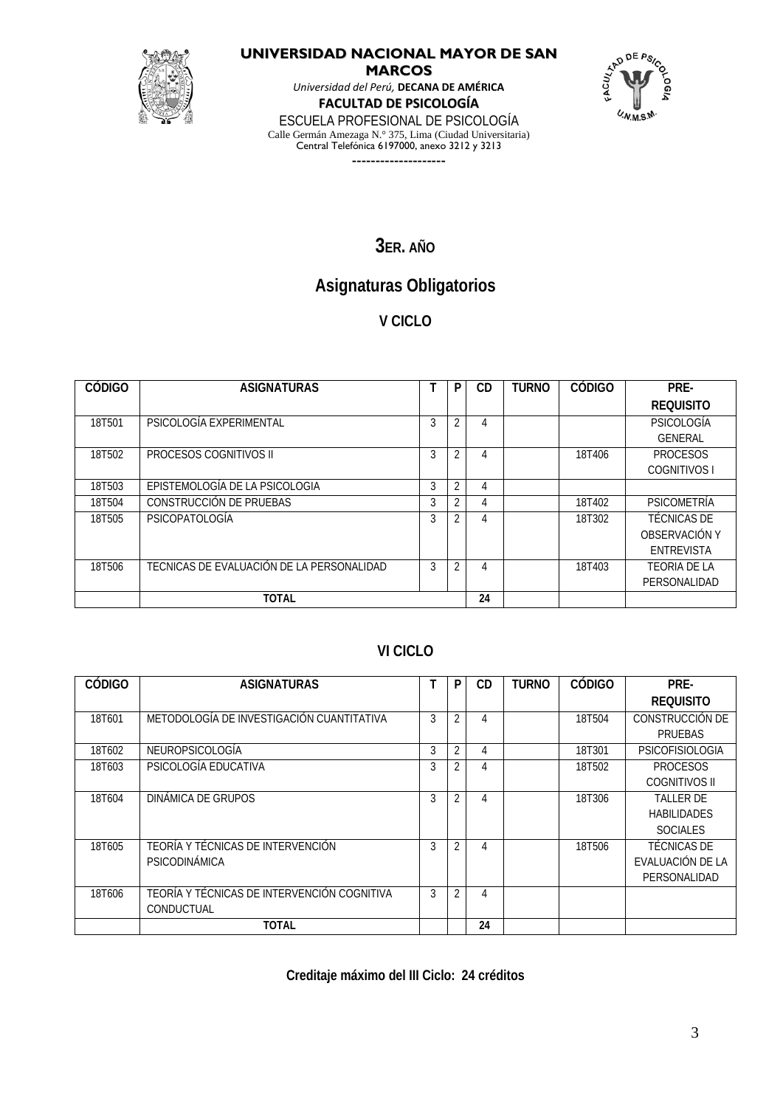

--------------------



### **3ER. AÑO**

# **Asignaturas Obligatorios**

**V CICLO**

| <b>CÓDIGO</b> | ASIGNATURAS                               |   | P | CD | <b>TURNO</b> | <b>CÓDIGO</b> | PRF-                |
|---------------|-------------------------------------------|---|---|----|--------------|---------------|---------------------|
|               |                                           |   |   |    |              |               | <b>REQUISITO</b>    |
| 18T501        | PSICOLOGÍA EXPERIMENTAL                   | 3 | 2 | 4  |              |               | PSICOLOGÍA          |
|               |                                           |   |   |    |              |               | GENERAL             |
| 18T502        | <b>PROCESOS COGNITIVOS II</b>             | 3 | 2 | 4  |              | 18T406        | <b>PROCESOS</b>     |
|               |                                           |   |   |    |              |               | <b>COGNITIVOS I</b> |
| 18T503        | EPISTEMOLOGÍA DE LA PSICOLOGIA            | 3 | 2 | 4  |              |               |                     |
| 18T504        | CONSTRUCCIÓN DE PRUEBAS                   | 3 | 2 | 4  |              | 18T402        | PSICOMETRÍA         |
| 18T505        | PSICOPATOLOGÍA                            | 3 | 2 | 4  |              | 18T302        | TÉCNICAS DE         |
|               |                                           |   |   |    |              |               | OBSERVACIÓN Y       |
|               |                                           |   |   |    |              |               | <b>ENTREVISTA</b>   |
| 18T506        | TECNICAS DE EVALUACIÓN DE LA PERSONALIDAD | 3 | 2 | 4  |              | 18T403        | TEORIA DE LA        |
|               |                                           |   |   |    |              |               | PERSONALIDAD        |
|               | <b>TOTAL</b>                              |   |   | 24 |              |               |                     |

### **VI CICLO**

| <b>CÓDIGO</b> | <b>ASIGNATURAS</b>                          |   | P              | <b>CD</b> | <b>TURNO</b> | <b>CÓDIGO</b> | PRE-                   |
|---------------|---------------------------------------------|---|----------------|-----------|--------------|---------------|------------------------|
|               |                                             |   |                |           |              |               | <b>REQUISITO</b>       |
| 18T601        | METODOLOGÍA DE INVESTIGACIÓN CUANTITATIVA   | 3 | 2              | 4         |              | 18T504        | CONSTRUCCIÓN DE        |
|               |                                             |   |                |           |              |               | <b>PRUEBAS</b>         |
| 18T602        | <b>NEUROPSICOLOGÍA</b>                      | 3 | $\overline{2}$ | 4         |              | 18T301        | <b>PSICOFISIOLOGIA</b> |
| 18T603        | PSICOLOGÍA EDUCATIVA                        | 3 | 2              | 4         |              | 18T502        | <b>PROCESOS</b>        |
|               |                                             |   |                |           |              |               | <b>COGNITIVOS II</b>   |
| 18T604        | DINÁMICA DE GRUPOS                          | 3 | $\mathfrak{D}$ | 4         |              | 18T306        | TALLER DE              |
|               |                                             |   |                |           |              |               | <b>HABILIDADES</b>     |
|               |                                             |   |                |           |              |               | <b>SOCIALES</b>        |
| 18T605        | TEORÍA Y TÉCNICAS DE INTERVENCIÓN           | 3 | 2              | 4         |              | 18T506        | <b>TÉCNICAS DE</b>     |
|               | PSICODINÁMICA                               |   |                |           |              |               | EVALUACIÓN DE LA       |
|               |                                             |   |                |           |              |               | PERSONALIDAD           |
| 18T606        | TEORÍA Y TÉCNICAS DE INTERVENCIÓN COGNITIVA | 3 | 2              | 4         |              |               |                        |
|               | CONDUCTUAL                                  |   |                |           |              |               |                        |
|               | <b>TOTAL</b>                                |   |                | 24        |              |               |                        |

**Creditaje máximo del III Ciclo: 24 créditos**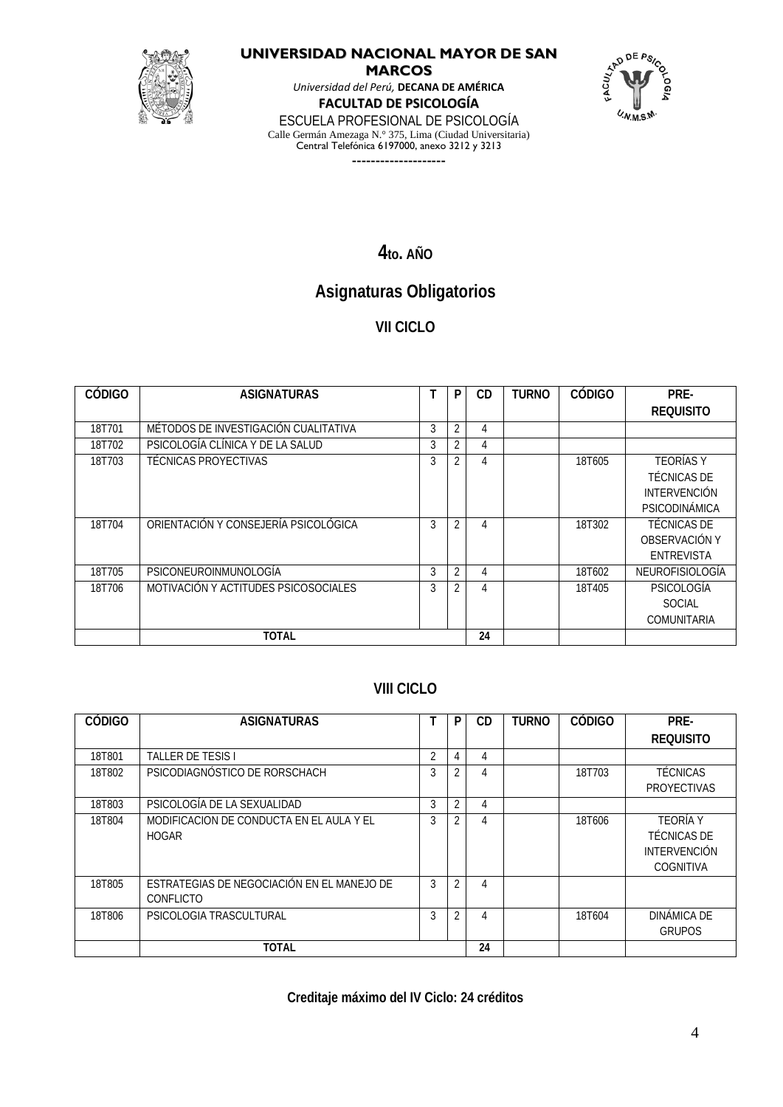

--------------------



### **4to. AÑO**

# **Asignaturas Obligatorios**

### **VII CICLO**

| <b>CÓDIGO</b> | <b>ASIGNATURAS</b>                   |   | P              | <b>CD</b> | <b>TURNO</b> | <b>CÓDIGO</b> | PRE-                   |
|---------------|--------------------------------------|---|----------------|-----------|--------------|---------------|------------------------|
|               |                                      |   |                |           |              |               | <b>REQUISITO</b>       |
| 18T701        | MÉTODOS DE INVESTIGACIÓN CUALITATIVA | 3 | $\overline{2}$ | 4         |              |               |                        |
| 18T702        | PSICOLOGÍA CLÍNICA Y DE LA SALUD     | 3 | 2              | 4         |              |               |                        |
| 18T703        | TÉCNICAS PROYECTIVAS                 | 3 | $\mathfrak{D}$ | 4         |              | 18T605        | <b>TEORÍAS Y</b>       |
|               |                                      |   |                |           |              |               | TÉCNICAS DE            |
|               |                                      |   |                |           |              |               | <b>INTERVENCIÓN</b>    |
|               |                                      |   |                |           |              |               | PSICODINÁMICA          |
| 18T704        | ORIENTACIÓN Y CONSEJERÍA PSICOLÓGICA | 3 | $\mathfrak{D}$ | 4         |              | 18T302        | TÉCNICAS DE            |
|               |                                      |   |                |           |              |               | OBSERVACIÓN Y          |
|               |                                      |   |                |           |              |               | <b>ENTREVISTA</b>      |
| 18T705        | PSICONEUROINMUNOLOGÍA                | 3 | $\overline{2}$ | 4         |              | 18T602        | <b>NEUROFISIOLOGÍA</b> |
| 18T706        | MOTIVACIÓN Y ACTITUDES PSICOSOCIALES | 3 | 2              | 4         |              | 18T405        | PSICOLOGÍA             |
|               |                                      |   |                |           |              |               | SOCIAL                 |
|               |                                      |   |                |           |              |               | <b>COMUNITARIA</b>     |
|               | <b>TOTAL</b>                         |   |                | 24        |              |               |                        |

### **VIII CICLO**

| <b>CÓDIGO</b> | <b>ASIGNATURAS</b>                         |                | P              | <b>CD</b> | <b>TURNO</b> | <b>CÓDIGO</b> | PRE-                |
|---------------|--------------------------------------------|----------------|----------------|-----------|--------------|---------------|---------------------|
|               |                                            |                |                |           |              |               | <b>REQUISITO</b>    |
| 18T801        | <b>TALLER DE TESIS I</b>                   | $\overline{2}$ | 4              | 4         |              |               |                     |
| 18T802        | PSICODIAGNÓSTICO DE RORSCHACH              | 3              | $\mathfrak{D}$ | 4         |              | 18T703        | <b>TÉCNICAS</b>     |
|               |                                            |                |                |           |              |               | <b>PROYECTIVAS</b>  |
| 18T803        | PSICOLOGÍA DE LA SEXUALIDAD                | 3              | $\overline{2}$ | 4         |              |               |                     |
| 18T804        | MODIFICACION DE CONDUCTA EN EL AULA Y EL   | 3              | 2              | 4         |              | 18T606        | <b>TEORÍA Y</b>     |
|               | <b>HOGAR</b>                               |                |                |           |              |               | <b>TÉCNICAS DE</b>  |
|               |                                            |                |                |           |              |               | <b>INTERVENCIÓN</b> |
|               |                                            |                |                |           |              |               | COGNITIVA           |
| 18T805        | ESTRATEGIAS DE NEGOCIACIÓN EN EL MANEJO DE | 3              | C              | 4         |              |               |                     |
|               | <b>CONFLICTO</b>                           |                |                |           |              |               |                     |
| 18T806        | PSICOLOGIA TRASCULTURAL                    | 3              | $\mathcal{D}$  | 4         |              | 18T604        | DINÁMICA DE         |
|               |                                            |                |                |           |              |               | <b>GRUPOS</b>       |
|               | <b>TOTAL</b>                               |                |                | 24        |              |               |                     |

**Creditaje máximo del IV Ciclo: 24 créditos**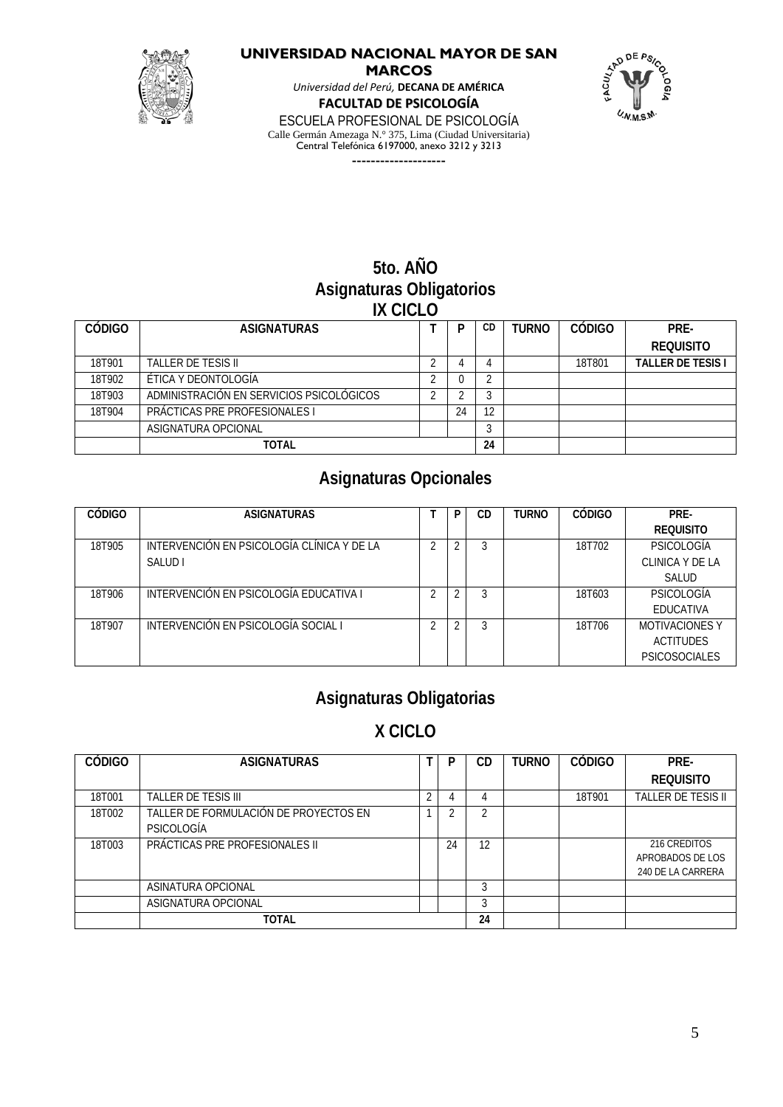



### **5to. AÑO Asignaturas Obligatorios IX CICLO**

|               | .                                        |  |    |    |              |               |                          |  |  |  |  |
|---------------|------------------------------------------|--|----|----|--------------|---------------|--------------------------|--|--|--|--|
| <b>CÓDIGO</b> | <b>ASIGNATURAS</b>                       |  |    | CD | <b>TURNO</b> | <b>CÓDIGO</b> | PRF-                     |  |  |  |  |
|               |                                          |  |    |    |              |               | <b>REQUISITO</b>         |  |  |  |  |
| 18T901        | TALLER DE TESIS II                       |  | д  |    |              | 18T801        | <b>TALLER DE TESIS I</b> |  |  |  |  |
| 18T902        | ÉTICA Y DEONTOLOGÍA                      |  |    |    |              |               |                          |  |  |  |  |
| 18T903        | ADMINISTRACIÓN EN SERVICIOS PSICOLÓGICOS |  |    |    |              |               |                          |  |  |  |  |
| 18T904        | PRÁCTICAS PRE PROFESIONALES I            |  | 24 | 12 |              |               |                          |  |  |  |  |
|               | ASIGNATURA OPCIONAL                      |  |    |    |              |               |                          |  |  |  |  |
|               | TOTAL                                    |  |    | 24 |              |               |                          |  |  |  |  |

### **Asignaturas Opcionales**

| <b>CÓDIGO</b> | ASIGNATURAS                                | P | CD | TURNO | <b>CÓDIGO</b> | PRE-                  |
|---------------|--------------------------------------------|---|----|-------|---------------|-----------------------|
|               |                                            |   |    |       |               | <b>REQUISITO</b>      |
| 18T905        | INTERVENCIÓN EN PSICOLOGÍA CLÍNICA Y DE LA |   |    |       | 18T702        | PSICOLOGÍA            |
|               | SALUD <sub>I</sub>                         |   |    |       |               | CLINICA Y DE LA       |
|               |                                            |   |    |       |               | SALUD                 |
| 18T906        | INTERVENCIÓN EN PSICOLOGÍA EDUCATIVA I     |   |    |       | 18T603        | PSICOLOGÍA            |
|               |                                            |   |    |       |               | <b>EDUCATIVA</b>      |
| 18T907        | <b>INTERVENCIÓN EN PSICOLOGÍA SOCIAL I</b> |   |    |       | 18T706        | <b>MOTIVACIONES Y</b> |
|               |                                            |   |    |       |               | <b>ACTITUDES</b>      |
|               |                                            |   |    |       |               | <b>PSICOSOCIALES</b>  |

# **Asignaturas Obligatorias**

### **X CICLO**

| Código | <b>ASIGNATURAS</b>                    | р  | CD | TURNO | <b>CÓDIGO</b> | PRF-                      |
|--------|---------------------------------------|----|----|-------|---------------|---------------------------|
|        |                                       |    |    |       |               | <b>REQUISITO</b>          |
| 18T001 | TALLER DE TESIS III                   |    | 4  |       | 18T901        | <b>TALLER DE TESIS II</b> |
| 18T002 | TALLER DE FORMULACIÓN DE PROYECTOS EN |    | 2  |       |               |                           |
|        | PSICOLOGÍA                            |    |    |       |               |                           |
| 18T003 | PRÁCTICAS PRE PROFESIONALES II        | 24 | 12 |       |               | 216 CREDITOS              |
|        |                                       |    |    |       |               | APROBADOS DE LOS          |
|        |                                       |    |    |       |               | 240 DE LA CARRERA         |
|        | ASINATURA OPCIONAL                    |    | 3  |       |               |                           |
|        | ASIGNATURA OPCIONAL                   |    | 3  |       |               |                           |
|        | TOTAL                                 |    | 24 |       |               |                           |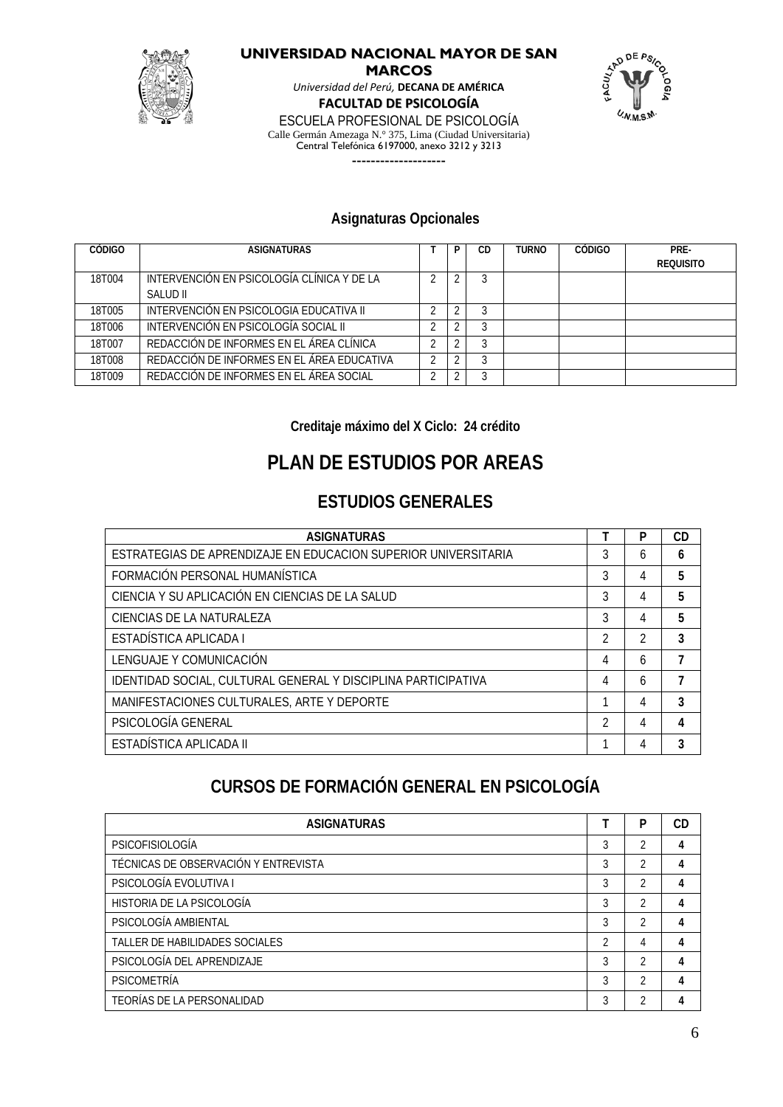

--------------------



#### **Asignaturas Opcionales**

| CÓDIGO | <b>ASIGNATURAS</b>                             |  | CD | TURNO | <b>CÓDIGO</b> | PRE-             |
|--------|------------------------------------------------|--|----|-------|---------------|------------------|
|        |                                                |  |    |       |               | <b>REQUISITO</b> |
| 18T004 | INTERVENCIÓN EN PSICOLOGÍA CLÍNICA Y DE LA     |  |    |       |               |                  |
|        | SALUD II                                       |  |    |       |               |                  |
| 18T005 | <b>INTERVENCIÓN EN PSICOLOGIA EDUCATIVA II</b> |  |    |       |               |                  |
| 18T006 | INTERVENCIÓN EN PSICOLOGÍA SOCIAL II           |  |    |       |               |                  |
| 18T007 | REDACCIÓN DE INFORMES EN EL ÁREA CLÍNICA       |  |    |       |               |                  |
| 18T008 | REDACCIÓN DE INFORMES EN EL ÁREA EDUCATIVA     |  |    |       |               |                  |
| 18T009 | REDACCIÓN DE INFORMES EN EL ÁREA SOCIAL        |  |    |       |               |                  |

**Creditaje máximo del X Ciclo: 24 crédito**

# **PLAN DE ESTUDIOS POR AREAS**

### **ESTUDIOS GENERALES**

| <b>ASIGNATURAS</b>                                             |                | P | <b>CD</b> |
|----------------------------------------------------------------|----------------|---|-----------|
| ESTRATEGIAS DE APRENDIZAJE EN EDUCACION SUPERIOR UNIVERSITARIA | 3              | 6 | 6         |
| FORMACIÓN PERSONAL HUMANÍSTICA                                 | 3              | 4 | 5         |
| CIENCIA Y SU APLICACIÓN EN CIENCIAS DE LA SALUD                | 3              | 4 | 5         |
| CIENCIAS DE LA NATURALEZA                                      | 3              | 4 | 5         |
| ESTADÍSTICA APLICADA I                                         | 2              | 2 | 3         |
| LENGUAJE Y COMUNICACIÓN                                        | 4              | 6 |           |
| IDENTIDAD SOCIAL, CULTURAL GENERAL Y DISCIPLINA PARTICIPATIVA  | 4              | 6 | 7         |
| MANIFESTACIONES CULTURALES, ARTE Y DEPORTE                     |                | 4 | 3         |
| PSICOLOGÍA GENERAL                                             | $\mathfrak{D}$ | 4 | 4         |
| ESTADÍSTICA APLICADA II                                        |                | 4 |           |

### **CURSOS DE FORMACIÓN GENERAL EN PSICOLOGÍA**

| <b>ASIGNATURAS</b>                   |   | P | CD |
|--------------------------------------|---|---|----|
| PSICOFISIOLOGÍA                      |   | 2 |    |
| TÉCNICAS DE OBSERVACIÓN Y ENTREVISTA |   | 2 |    |
| PSICOLOGÍA EVOLUTIVA I               | 3 | 2 |    |
| HISTORIA DE LA PSICOLOGÍA            |   | 2 |    |
| PSICOLOGÍA AMBIENTAL                 |   | 2 |    |
| TALLER DE HABILIDADES SOCIALES       | C | 4 |    |
| PSICOLOGÍA DEL APRENDIZAJE           |   | 2 |    |
| <b>PSICOMETRÍA</b>                   |   | 2 |    |
| TEORÍAS DE LA PERSONALIDAD           | 3 | 2 |    |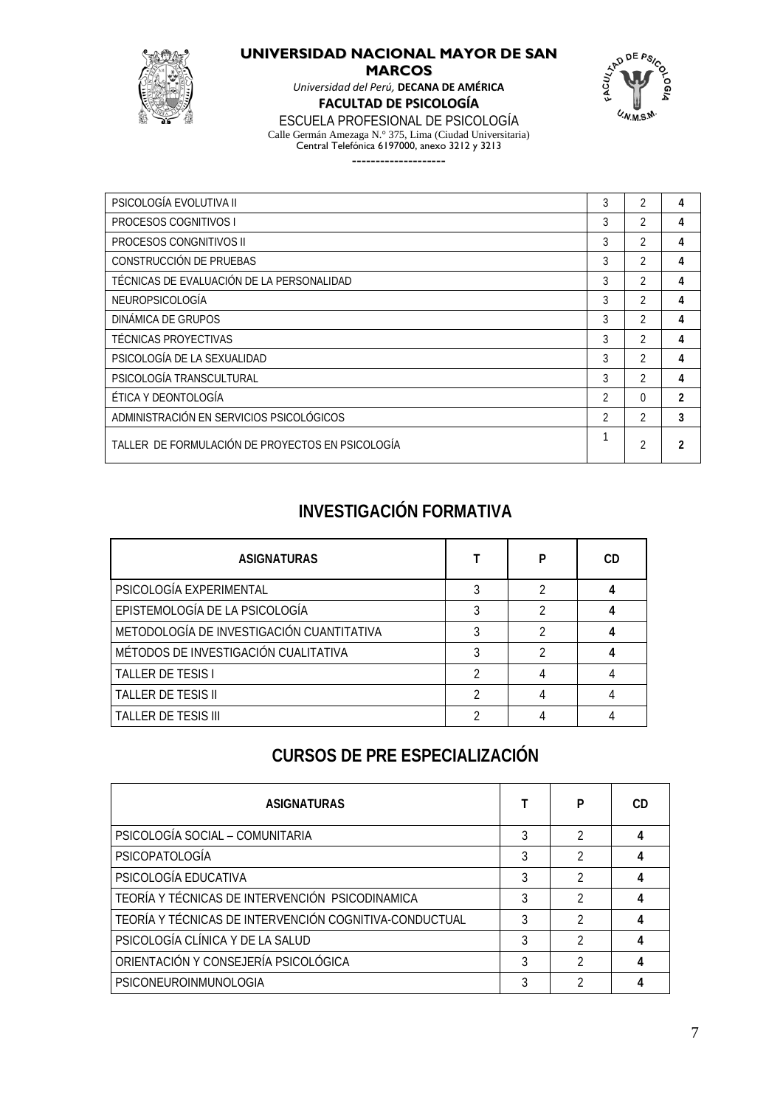

--------------------



| PSICOLOGÍA EVOLUTIVA II                          | 3 | $\overline{2}$ | 4              |
|--------------------------------------------------|---|----------------|----------------|
| <b>PROCESOS COGNITIVOS I</b>                     | 3 | $\mathfrak{D}$ | 4              |
| <b>PROCESOS CONGNITIVOS II</b>                   | 3 | $\overline{2}$ | 4              |
| CONSTRUCCIÓN DE PRUEBAS                          | 3 | 2              | 4              |
| TÉCNICAS DE EVALUACIÓN DE LA PERSONALIDAD        | 3 | $\overline{2}$ | 4              |
| <b>NEUROPSICOLOGÍA</b>                           | 3 | 2              | 4              |
| DINÁMICA DE GRUPOS                               | 3 | $\overline{2}$ | 4              |
| <b>TÉCNICAS PROYECTIVAS</b>                      | 3 | $\mathfrak{D}$ | 4              |
| PSICOLOGÍA DE LA SEXUALIDAD                      | 3 | $\overline{2}$ | 4              |
| PSICOLOGÍA TRANSCULTURAL                         | 3 | $\mathfrak{D}$ | 4              |
| ÉTICA Y DEONTOLOGÍA                              | 2 | $\Omega$       | $\overline{2}$ |
| ADMINISTRACIÓN EN SERVICIOS PSICOLÓGICOS         | 2 | $\mathfrak{D}$ | 3              |
| TALLER DE FORMULACIÓN DE PROYECTOS EN PSICOLOGÍA |   | $\overline{2}$ |                |

### **INVESTIGACIÓN FORMATIVA**

| <b>ASIGNATURAS</b>                        | D | CD |
|-------------------------------------------|---|----|
| PSICOLOGÍA EXPERIMENTAL                   |   |    |
| EPISTEMOLOGÍA DE LA PSICOLOGÍA            |   |    |
| METODOLOGÍA DE INVESTIGACIÓN CUANTITATIVA |   |    |
| MÉTODOS DE INVESTIGACIÓN CUALITATIVA      |   |    |
| TALLER DE TESIS I                         |   |    |
| TALLER DE TESIS II                        |   |    |
| TALLER DE TESIS III                       |   |    |

### **CURSOS DE PRE ESPECIALIZACIÓN**

| ASIGNATURAS                                            |   | P              |  |
|--------------------------------------------------------|---|----------------|--|
| PSICOLOGÍA SOCIAL - COMUNITARIA                        |   | $\mathcal{P}$  |  |
| PSICOPATOLOGÍA                                         | 3 |                |  |
| PSICOLOGÍA EDUCATIVA                                   |   |                |  |
| TEORÍA Y TÉCNICAS DE INTERVENCIÓN PSICODINAMICA        |   | $\mathfrak{D}$ |  |
| TEORÍA Y TÉCNICAS DE INTERVENCIÓN COGNITIVA-CONDUCTUAL | 3 |                |  |
| PSICOLOGÍA CLÍNICA Y DE LA SALUD                       |   |                |  |
| ORIENTACIÓN Y CONSEJERÍA PSICOLÓGICA                   | 3 | C              |  |
| PSICONEUROINMUNOLOGIA                                  | 3 |                |  |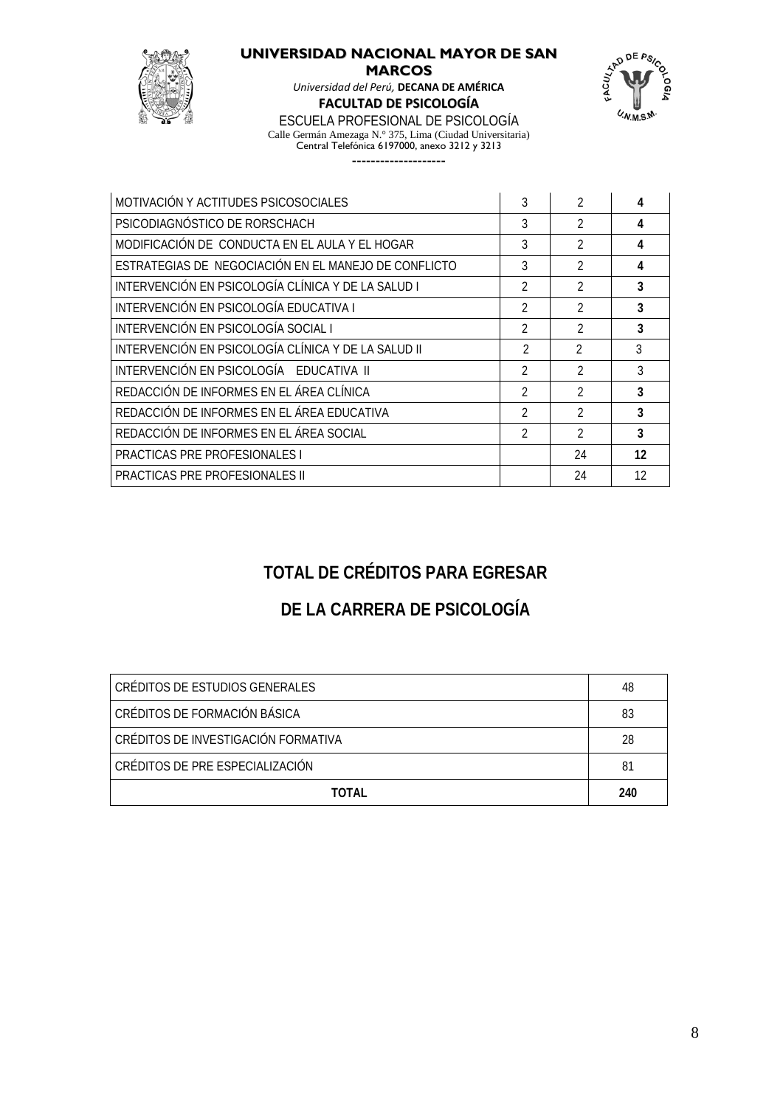--------------------



| MOTIVACIÓN Y ACTITUDES PSICOSOCIALES                 | 3              | $\mathfrak{D}$ |         |
|------------------------------------------------------|----------------|----------------|---------|
| PSICODIAGNÓSTICO DE RORSCHACH                        | 3              | $\mathfrak{D}$ | 4       |
| MODIFICACIÓN DE CONDUCTA EN EL AULA Y EL HOGAR       | 3              | $\mathcal{P}$  | 4       |
| ESTRATEGIAS DE NEGOCIACIÓN EN EL MANEJO DE CONFLICTO | 3              | $\mathfrak{D}$ | 4       |
| INTERVENCIÓN EN PSICOLOGÍA CLÍNICA Y DE LA SALUD I   | 2              | $\mathfrak{D}$ | 3       |
| INTERVENCIÓN EN PSICOLOGÍA EDUCATIVA I               | $\mathfrak{D}$ | $\mathcal{P}$  | 3       |
| INTERVENCIÓN EN PSICOLOGÍA SOCIAL I                  | $\mathfrak{D}$ | $\mathcal{P}$  | 3       |
| INTERVENCIÓN EN PSICOLOGÍA CLÍNICA Y DE LA SALUD II  | 2              | $\mathfrak{D}$ | 3       |
| INTERVENCIÓN EN PSICOLOGÍA EDUCATIVA II              | $\mathfrak{D}$ | $\mathfrak{D}$ | 3       |
| REDACCIÓN DE INFORMES EN EL ÁREA CLÍNICA             | $\mathfrak{D}$ | $\mathcal{P}$  | 3       |
| REDACCIÓN DE INFORMES EN EL ÁREA EDUCATIVA           | $\mathfrak{D}$ | $\mathcal{P}$  | 3       |
| REDACCIÓN DE INFORMES EN EL ÁREA SOCIAL              | $\mathfrak{D}$ | $\mathfrak{D}$ | 3       |
| <b>PRACTICAS PRE PROFESIONALES I</b>                 |                | 24             | $12 \,$ |
| <b>PRACTICAS PRE PROFESIONALES II</b>                |                | 24             | 12      |

# **TOTAL DE CRÉDITOS PARA EGRESAR**

# **DE LA CARRERA DE PSICOLOGÍA**

| CRÉDITOS DE ESTUDIOS GENERALES      | 48  |
|-------------------------------------|-----|
| CRÉDITOS DE FORMACIÓN BÁSICA        | 83  |
| CRÉDITOS DE INVESTIGACIÓN FORMATIVA | 28  |
| CRÉDITOS DE PRE ESPECIALIZACIÓN     | 81  |
| TOTAL                               | 240 |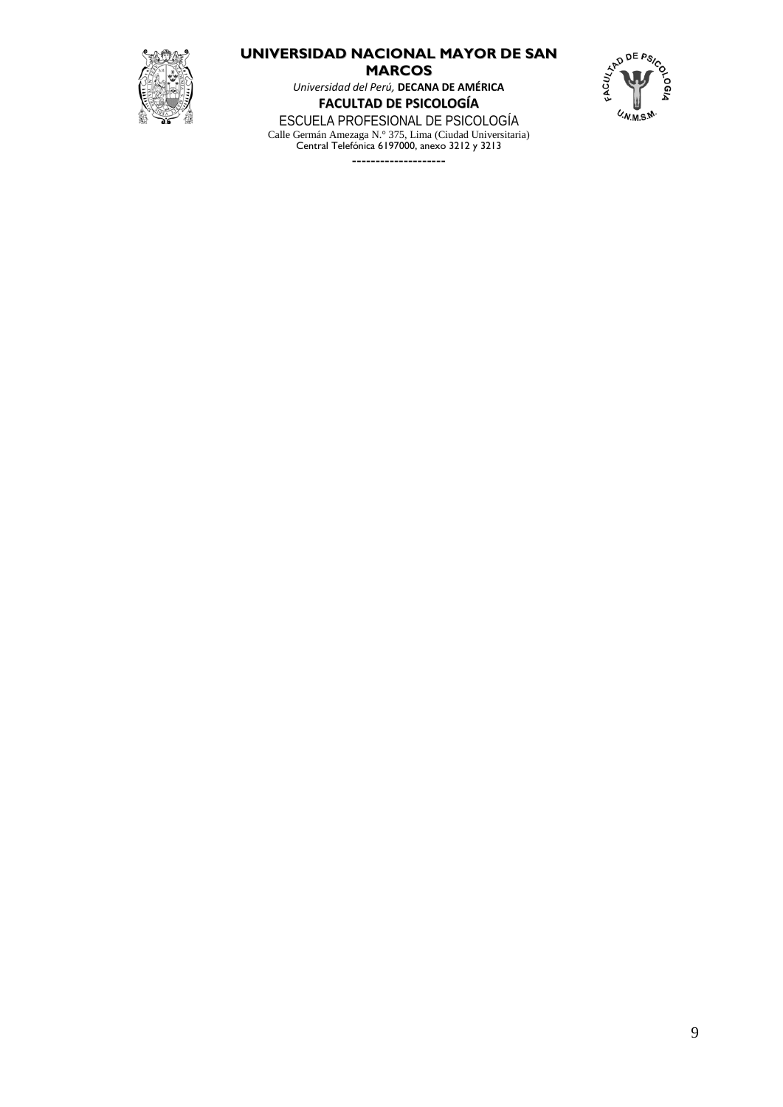



Central Telefónica 6197000, anexo 3212 y 3213 --------------------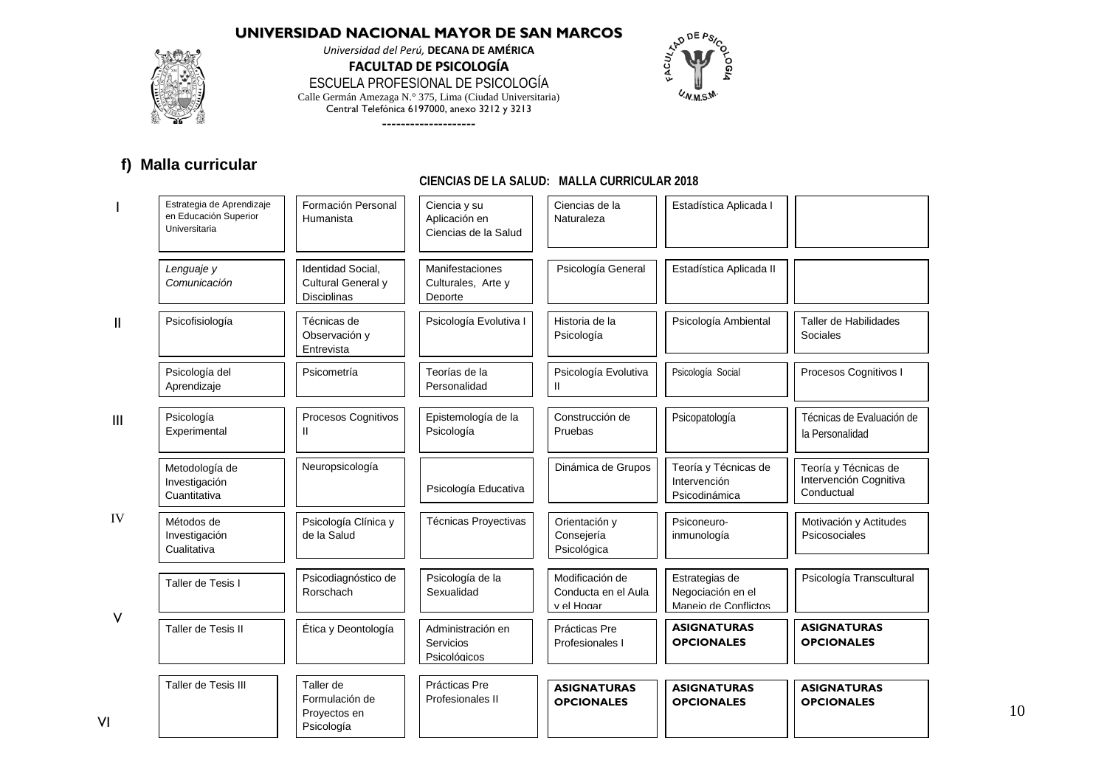#### **UNIVERSIDAD NACIONAL MAYOR DE SAN MARCOS**



*Universidad del Perú,* **DECANA DE AMÉRICA**

**FACULTAD DE PSICOLOGÍA**

ESCUELA PROFESIONAL DE PSICOLOGÍA Calle Germán Amezaga N.° 375, Lima (Ciudad Universitaria) Central Telefónica 6197000, anexo 3212 y 3213 --------------------



### **f) Malla curricular**

#### I II III IV V VI Taller de Tesis I | Psicodiagnóstico de | | Psicología de la Rorschach Sexualidad Modificación de Conducta en el Aula y el Hogar Estrategias de Negociación en el Manejo de Conflictos Psicología Transcultural Psicología Clínica y de la Salud Métodos de Investigación **Cualitativa** Técnicas Provectivas | | Orientación y Consejería Psicológica Psiconeuroinmunología Motivación y Actitudes Psicosociales Metodología de **Neuropsicología** Investigación nivestigación<br>Cuantitativa Psicología Educativa Dinámica de Grupos | Teoría y Técnicas de Intervención Psicodinámica Teoría y Técnicas de Intervención Cognitiva **Conductual** Procesos Cognitivos II Psicología **Experimental** Epistemología de la Psicología Construcción de Pruebas Psicopatología  $\vert \vert$  Técnicas de Evaluación de la Personalidad Psicología del **Psicometría** Aprendizaje Teorías de la Personalidad Psicología Evolutiva II Psicología Social | Procesos Cognitivos I Técnicas de Observación y Entrevista Psicofisiología **Priciple I Historia de la Psicología Evolutiva I** Historia de la Psicología Psicología Ambiental | Taller de Habilidades Sociales Identidad Social, Cultural General y **Disciplinas** *Lenguaje y Comunicación* Manifestaciones Culturales, Arte y Deporte Psicología General | Estadística Aplicada II Formación Personal Humanista Estrategia de Aprendizaje en Educación Superior Universitaria Ciencia y su Aplicación en Ciencias de la Salud Ciencias de la Naturaleza Taller de Tesis II Estadística Aplicada I Ética y Deontología  $\vert$  | Administración en  $\vert$  | Prácticas Pre Profesionales I Administración en Servicios Psicológicos Taller de Tesis III | Taller de Formulación de Proyectos en Psicología Prácticas Pre Profesionales II **ASIGNATURAS OPCIONALES ASIGNATURAS OPCIONALES ASIGNATURAS OPCIONALES ASIGNATURAS OPCIONALES ASIGNATURAS OPCIONALES**

**CIENCIAS DE LA SALUD: MALLA CURRICULAR 2018**

10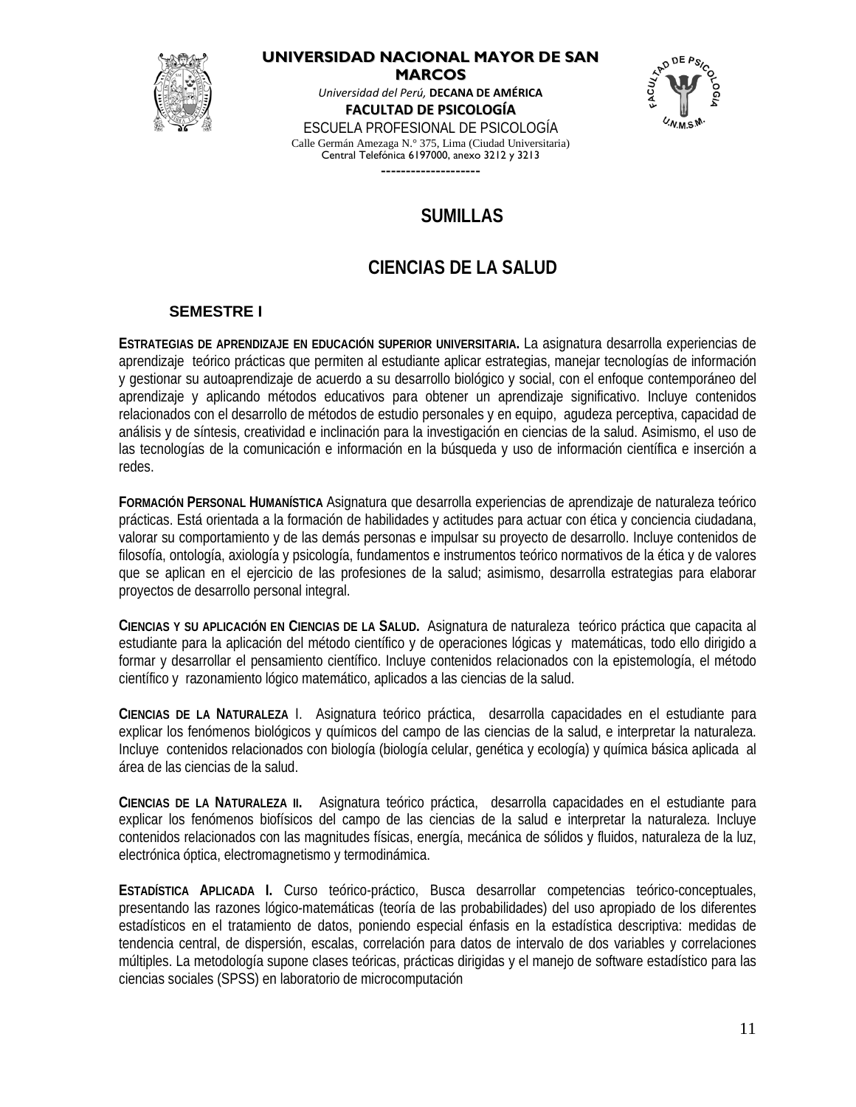

#### **UNIVERSIDAD NACIONAL MAYOR DE SAN MARCOS** *Universidad del Perú,* **DECANA DE AMÉRICA**

**FACULTAD DE PSICOLOGÍA** ESCUELA PROFESIONAL DE PSICOLOGÍA Calle Germán Amezaga N.° 375, Lima (Ciudad Universitaria)



Central Telefónica 6197000, anexo 3212 y 3213 --------------------

# **SUMILLAS**

# **CIENCIAS DE LA SALUD**

### **SEMESTRE I**

**ESTRATEGIAS DE APRENDIZAJE EN EDUCACIÓN SUPERIOR UNIVERSITARIA.** La asignatura desarrolla experiencias de aprendizaje teórico prácticas que permiten al estudiante aplicar estrategias, manejar tecnologías de información y gestionar su autoaprendizaje de acuerdo a su desarrollo biológico y social, con el enfoque contemporáneo del aprendizaje y aplicando métodos educativos para obtener un aprendizaje significativo. Incluye contenidos relacionados con el desarrollo de métodos de estudio personales y en equipo, agudeza perceptiva, capacidad de análisis y de síntesis, creatividad e inclinación para la investigación en ciencias de la salud. Asimismo, el uso de las tecnologías de la comunicación e información en la búsqueda y uso de información científica e inserción a redes.

**FORMACIÓN PERSONAL HUMANÍSTICA** Asignatura que desarrolla experiencias de aprendizaje de naturaleza teórico prácticas. Está orientada a la formación de habilidades y actitudes para actuar con ética y conciencia ciudadana, valorar su comportamiento y de las demás personas e impulsar su proyecto de desarrollo. Incluye contenidos de filosofía, ontología, axiología y psicología, fundamentos e instrumentos teórico normativos de la ética y de valores que se aplican en el ejercicio de las profesiones de la salud; asimismo, desarrolla estrategias para elaborar proyectos de desarrollo personal integral.

**CIENCIAS Y SU APLICACIÓN EN CIENCIAS DE LA SALUD.** Asignatura de naturaleza teórico práctica que capacita al estudiante para la aplicación del método científico y de operaciones lógicas y matemáticas, todo ello dirigido a formar y desarrollar el pensamiento científico. Incluye contenidos relacionados con la epistemología, el método científico y razonamiento lógico matemático, aplicados a las ciencias de la salud.

**CIENCIAS DE LA NATURALEZA** I. Asignatura teórico práctica, desarrolla capacidades en el estudiante para explicar los fenómenos biológicos y químicos del campo de las ciencias de la salud, e interpretar la naturaleza. Incluye contenidos relacionados con biología (biología celular, genética y ecología) y química básica aplicada al área de las ciencias de la salud.

**CIENCIAS DE LA NATURALEZA II.** Asignatura teórico práctica, desarrolla capacidades en el estudiante para explicar los fenómenos biofísicos del campo de las ciencias de la salud e interpretar la naturaleza. Incluye contenidos relacionados con las magnitudes físicas, energía, mecánica de sólidos y fluidos, naturaleza de la luz, electrónica óptica, electromagnetismo y termodinámica.

**ESTADÍSTICA APLICADA I.** Curso teórico-práctico, Busca desarrollar competencias teórico-conceptuales, presentando las razones lógico-matemáticas (teoría de las probabilidades) del uso apropiado de los diferentes estadísticos en el tratamiento de datos, poniendo especial énfasis en la estadística descriptiva: medidas de tendencia central, de dispersión, escalas, correlación para datos de intervalo de dos variables y correlaciones múltiples. La metodología supone clases teóricas, prácticas dirigidas y el manejo de software estadístico para las ciencias sociales (SPSS) en laboratorio de microcomputación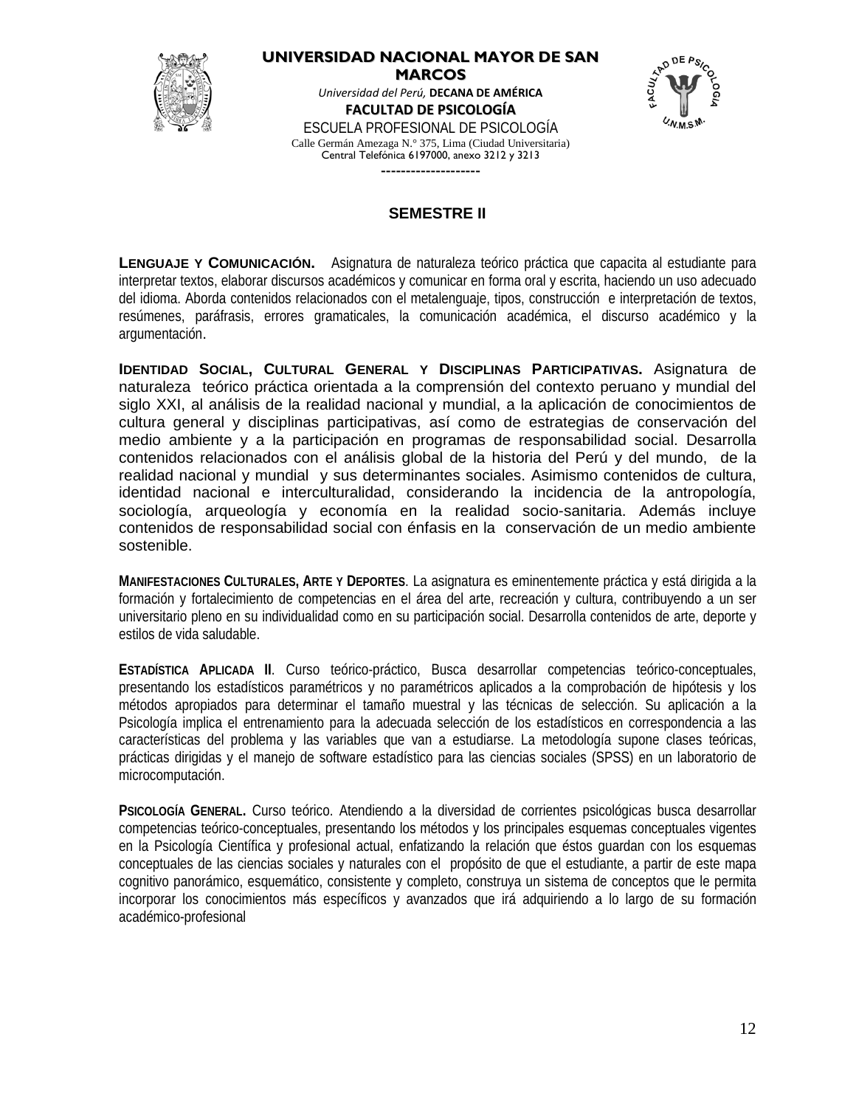



--------------------

#### **SEMESTRE II**

**LENGUAJE Y COMUNICACIÓN.** Asignatura de naturaleza teórico práctica que capacita al estudiante para interpretar textos, elaborar discursos académicos y comunicar en forma oral y escrita, haciendo un uso adecuado del idioma. Aborda contenidos relacionados con el metalenguaje, tipos, construcción e interpretación de textos, resúmenes, paráfrasis, errores gramaticales, la comunicación académica, el discurso académico y la argumentación.

**IDENTIDAD SOCIAL, CULTURAL GENERAL Y DISCIPLINAS PARTICIPATIVAS.** Asignatura de naturaleza teórico práctica orientada a la comprensión del contexto peruano y mundial del siglo XXI, al análisis de la realidad nacional y mundial, a la aplicación de conocimientos de cultura general y disciplinas participativas, así como de estrategias de conservación del medio ambiente y a la participación en programas de responsabilidad social. Desarrolla contenidos relacionados con el análisis global de la historia del Perú y del mundo, de la realidad nacional y mundial y sus determinantes sociales. Asimismo contenidos de cultura, identidad nacional e interculturalidad, considerando la incidencia de la antropología, sociología, arqueología y economía en la realidad socio-sanitaria. Además incluye contenidos de responsabilidad social con énfasis en la conservación de un medio ambiente sostenible.

**MANIFESTACIONES CULTURALES, ARTE Y DEPORTES**. La asignatura es eminentemente práctica y está dirigida a la formación y fortalecimiento de competencias en el área del arte, recreación y cultura, contribuyendo a un ser universitario pleno en su individualidad como en su participación social. Desarrolla contenidos de arte, deporte y estilos de vida saludable.

**ESTADÍSTICA APLICADA II**. Curso teórico-práctico, Busca desarrollar competencias teórico-conceptuales, presentando los estadísticos paramétricos y no paramétricos aplicados a la comprobación de hipótesis y los métodos apropiados para determinar el tamaño muestral y las técnicas de selección. Su aplicación a la Psicología implica el entrenamiento para la adecuada selección de los estadísticos en correspondencia a las características del problema y las variables que van a estudiarse. La metodología supone clases teóricas, prácticas dirigidas y el manejo de software estadístico para las ciencias sociales (SPSS) en un laboratorio de microcomputación.

**PSICOLOGÍA GENERAL.** Curso teórico. Atendiendo a la diversidad de corrientes psicológicas busca desarrollar competencias teórico-conceptuales, presentando los métodos y los principales esquemas conceptuales vigentes en la Psicología Científica y profesional actual, enfatizando la relación que éstos guardan con los esquemas conceptuales de las ciencias sociales y naturales con el propósito de que el estudiante, a partir de este mapa cognitivo panorámico, esquemático, consistente y completo, construya un sistema de conceptos que le permita incorporar los conocimientos más específicos y avanzados que irá adquiriendo a lo largo de su formación académico-profesional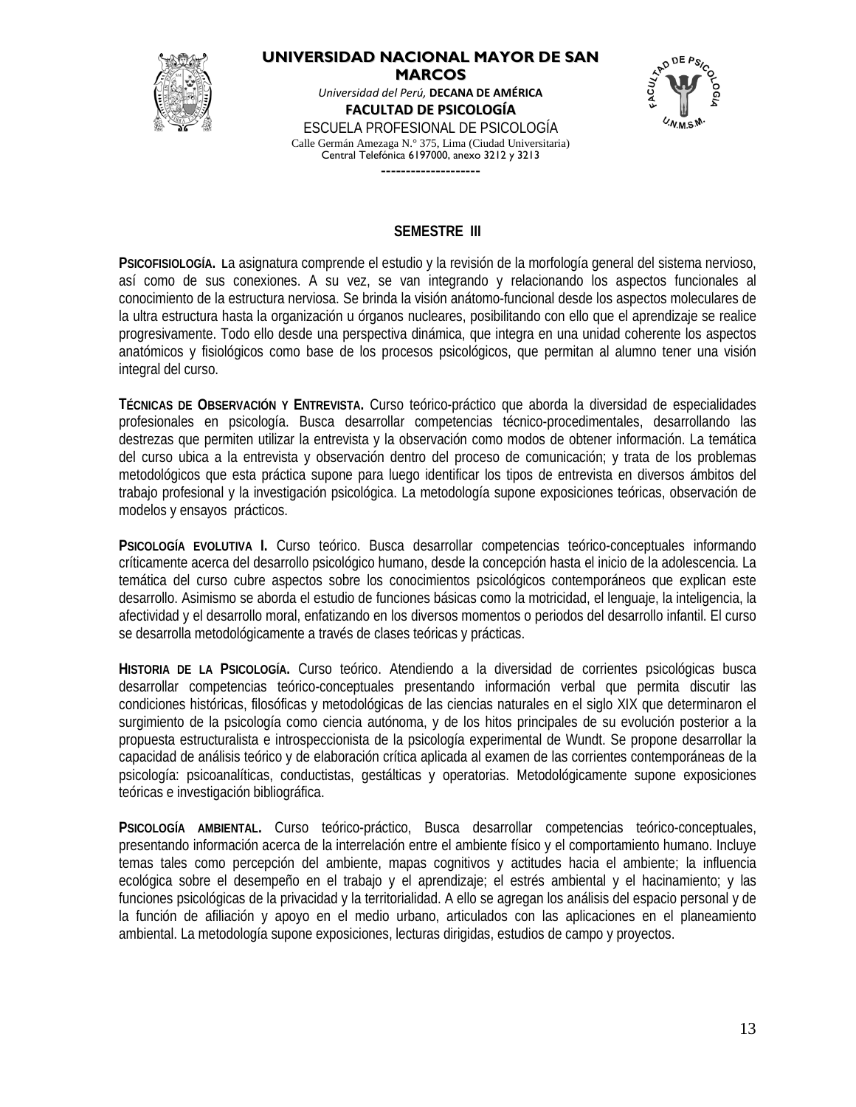

#### **SEMESTRE III**

**PSICOFISIOLOGÍA. L**a asignatura comprende el estudio y la revisión de la morfología general del sistema nervioso, así como de sus conexiones. A su vez, se van integrando y relacionando los aspectos funcionales al conocimiento de la estructura nerviosa. Se brinda la visión anátomo-funcional desde los aspectos moleculares de la ultra estructura hasta la organización u órganos nucleares, posibilitando con ello que el aprendizaje se realice progresivamente. Todo ello desde una perspectiva dinámica, que integra en una unidad coherente los aspectos anatómicos y fisiológicos como base de los procesos psicológicos, que permitan al alumno tener una visión integral del curso.

**TÉCNICAS DE OBSERVACIÓN Y ENTREVISTA.** Curso teórico-práctico que aborda la diversidad de especialidades profesionales en psicología. Busca desarrollar competencias técnico-procedimentales, desarrollando las destrezas que permiten utilizar la entrevista y la observación como modos de obtener información. La temática del curso ubica a la entrevista y observación dentro del proceso de comunicación; y trata de los problemas metodológicos que esta práctica supone para luego identificar los tipos de entrevista en diversos ámbitos del trabajo profesional y la investigación psicológica. La metodología supone exposiciones teóricas, observación de modelos y ensayos prácticos.

**PSICOLOGÍA EVOLUTIVA I.** Curso teórico. Busca desarrollar competencias teórico-conceptuales informando críticamente acerca del desarrollo psicológico humano, desde la concepción hasta el inicio de la adolescencia. La temática del curso cubre aspectos sobre los conocimientos psicológicos contemporáneos que explican este desarrollo. Asimismo se aborda el estudio de funciones básicas como la motricidad, el lenguaje, la inteligencia, la afectividad y el desarrollo moral, enfatizando en los diversos momentos o periodos del desarrollo infantil. El curso se desarrolla metodológicamente a través de clases teóricas y prácticas.

**HISTORIA DE LA PSICOLOGÍA.** Curso teórico. Atendiendo a la diversidad de corrientes psicológicas busca desarrollar competencias teórico-conceptuales presentando información verbal que permita discutir las condiciones históricas, filosóficas y metodológicas de las ciencias naturales en el siglo XIX que determinaron el surgimiento de la psicología como ciencia autónoma, y de los hitos principales de su evolución posterior a la propuesta estructuralista e introspeccionista de la psicología experimental de Wundt. Se propone desarrollar la capacidad de análisis teórico y de elaboración crítica aplicada al examen de las corrientes contemporáneas de la psicología: psicoanalíticas, conductistas, gestálticas y operatorias. Metodológicamente supone exposiciones teóricas e investigación bibliográfica.

**PSICOLOGÍA AMBIENTAL.** Curso teórico-práctico, Busca desarrollar competencias teórico-conceptuales, presentando información acerca de la interrelación entre el ambiente físico y el comportamiento humano. Incluye temas tales como percepción del ambiente, mapas cognitivos y actitudes hacia el ambiente; la influencia ecológica sobre el desempeño en el trabajo y el aprendizaje; el estrés ambiental y el hacinamiento; y las funciones psicológicas de la privacidad y la territorialidad. A ello se agregan los análisis del espacio personal y de la función de afiliación y apoyo en el medio urbano, articulados con las aplicaciones en el planeamiento ambiental. La metodología supone exposiciones, lecturas dirigidas, estudios de campo y proyectos.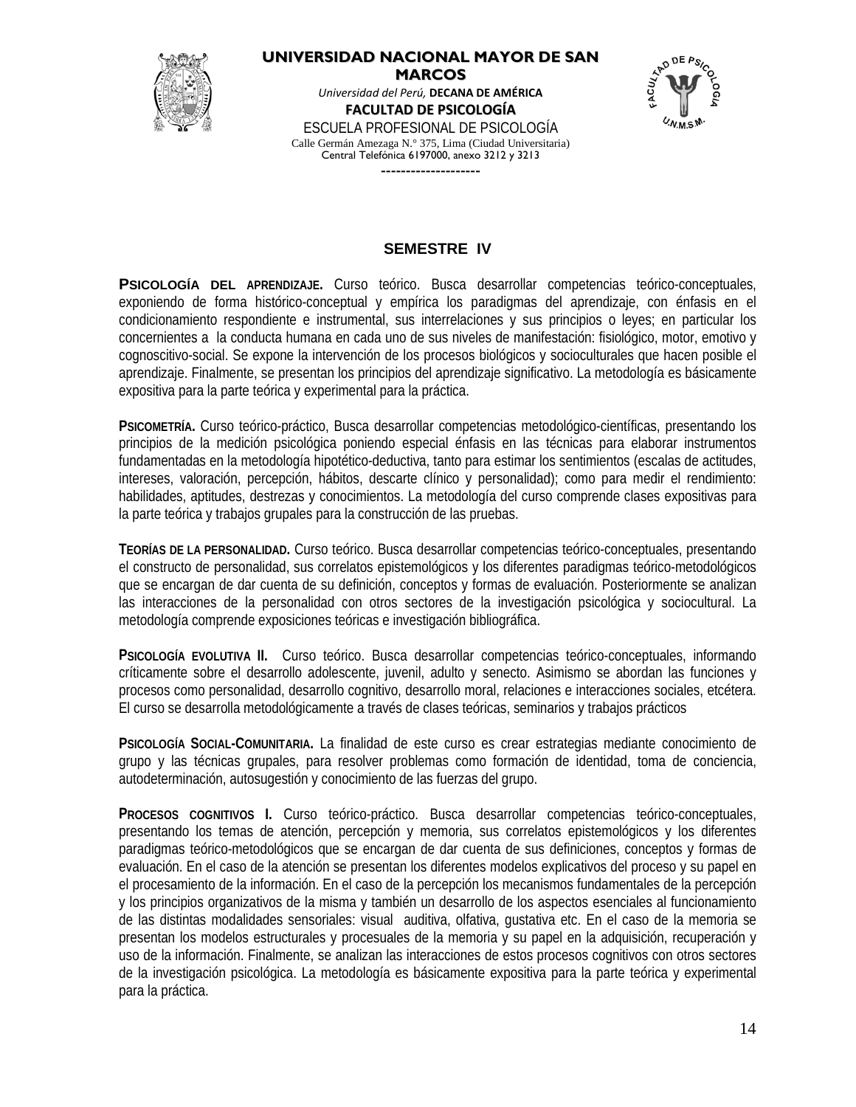

#### **UNIVERSIDAD NACIONAL MAYOR DE SAN MARCOS** *Universidad del Perú,* **DECANA DE AMÉRICA FACULTAD DE PSICOLOGÍA** ESCUELA PROFESIONAL DE PSICOLOGÍA

Calle Germán Amezaga N.° 375, Lima (Ciudad Universitaria) Central Telefónica 6197000, anexo 3212 y 3213 --------------------



#### **SEMESTRE IV**

**PSICOLOGÍA DEL APRENDIZAJE.** Curso teórico. Busca desarrollar competencias teórico-conceptuales, exponiendo de forma histórico-conceptual y empírica los paradigmas del aprendizaje, con énfasis en el condicionamiento respondiente e instrumental, sus interrelaciones y sus principios o leyes; en particular los concernientes a la conducta humana en cada uno de sus niveles de manifestación: fisiológico, motor, emotivo y cognoscitivo-social. Se expone la intervención de los procesos biológicos y socioculturales que hacen posible el aprendizaje. Finalmente, se presentan los principios del aprendizaje significativo. La metodología es básicamente expositiva para la parte teórica y experimental para la práctica.

**PSICOMETRÍA.** Curso teórico-práctico, Busca desarrollar competencias metodológico-científicas, presentando los principios de la medición psicológica poniendo especial énfasis en las técnicas para elaborar instrumentos fundamentadas en la metodología hipotético-deductiva, tanto para estimar los sentimientos (escalas de actitudes, intereses, valoración, percepción, hábitos, descarte clínico y personalidad); como para medir el rendimiento: habilidades, aptitudes, destrezas y conocimientos. La metodología del curso comprende clases expositivas para la parte teórica y trabajos grupales para la construcción de las pruebas.

**TEORÍAS DE LA PERSONALIDAD.** Curso teórico. Busca desarrollar competencias teórico-conceptuales, presentando el constructo de personalidad, sus correlatos epistemológicos y los diferentes paradigmas teórico-metodológicos que se encargan de dar cuenta de su definición, conceptos y formas de evaluación. Posteriormente se analizan las interacciones de la personalidad con otros sectores de la investigación psicológica y sociocultural. La metodología comprende exposiciones teóricas e investigación bibliográfica.

**PSICOLOGÍA EVOLUTIVA II.** Curso teórico. Busca desarrollar competencias teórico-conceptuales, informando críticamente sobre el desarrollo adolescente, juvenil, adulto y senecto. Asimismo se abordan las funciones y procesos como personalidad, desarrollo cognitivo, desarrollo moral, relaciones e interacciones sociales, etcétera. El curso se desarrolla metodológicamente a través de clases teóricas, seminarios y trabajos prácticos

**PSICOLOGÍA SOCIAL-COMUNITARIA.** La finalidad de este curso es crear estrategias mediante conocimiento de grupo y las técnicas grupales, para resolver problemas como formación de identidad, toma de conciencia, autodeterminación, autosugestión y conocimiento de las fuerzas del grupo.

**PROCESOS COGNITIVOS I.** Curso teórico-práctico. Busca desarrollar competencias teórico-conceptuales, presentando los temas de atención, percepción y memoria, sus correlatos epistemológicos y los diferentes paradigmas teórico-metodológicos que se encargan de dar cuenta de sus definiciones, conceptos y formas de evaluación. En el caso de la atención se presentan los diferentes modelos explicativos del proceso y su papel en el procesamiento de la información. En el caso de la percepción los mecanismos fundamentales de la percepción y los principios organizativos de la misma y también un desarrollo de los aspectos esenciales al funcionamiento de las distintas modalidades sensoriales: visual auditiva, olfativa, gustativa etc. En el caso de la memoria se presentan los modelos estructurales y procesuales de la memoria y su papel en la adquisición, recuperación y uso de la información. Finalmente, se analizan las interacciones de estos procesos cognitivos con otros sectores de la investigación psicológica. La metodología es básicamente expositiva para la parte teórica y experimental para la práctica.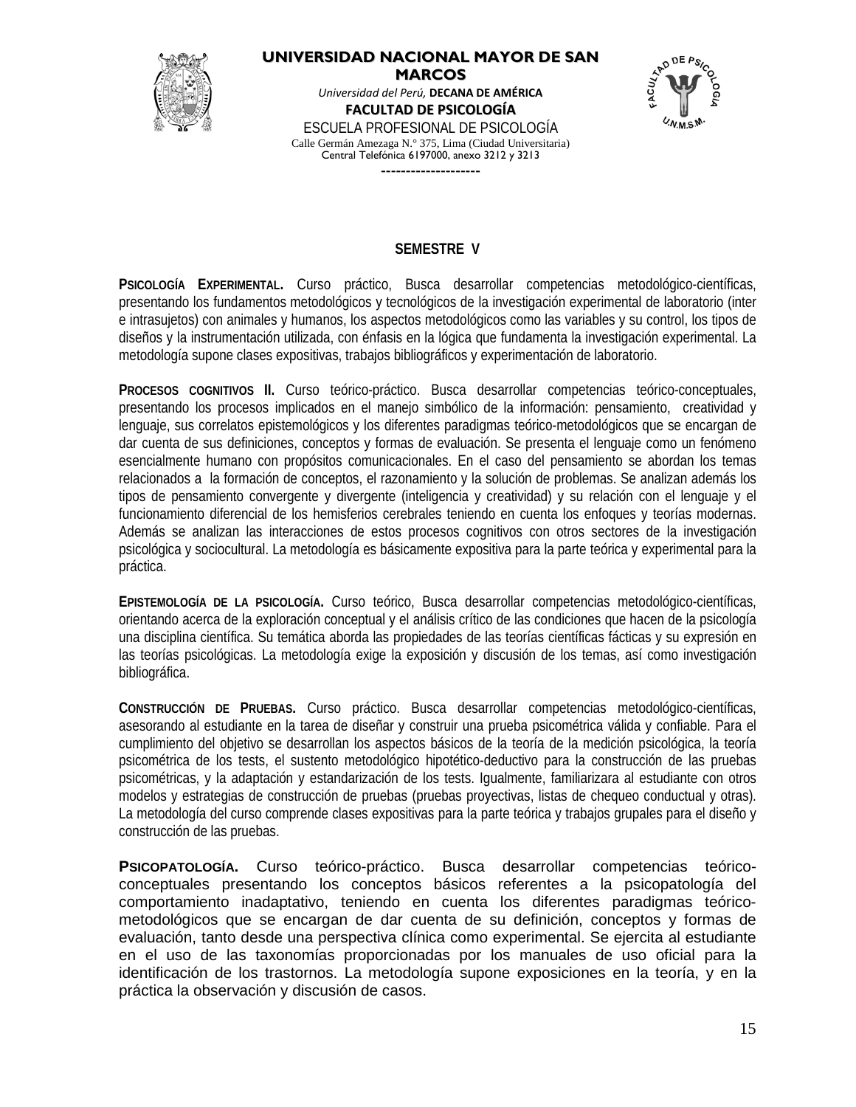



--------------------

#### **SEMESTRE V**

**PSICOLOGÍA EXPERIMENTAL.** Curso práctico, Busca desarrollar competencias metodológico-científicas, presentando los fundamentos metodológicos y tecnológicos de la investigación experimental de laboratorio (inter e intrasujetos) con animales y humanos, los aspectos metodológicos como las variables y su control, los tipos de diseños y la instrumentación utilizada, con énfasis en la lógica que fundamenta la investigación experimental. La metodología supone clases expositivas, trabajos bibliográficos y experimentación de laboratorio.

**PROCESOS COGNITIVOS II.** Curso teórico-práctico. Busca desarrollar competencias teórico-conceptuales, presentando los procesos implicados en el manejo simbólico de la información: pensamiento, creatividad y lenguaje, sus correlatos epistemológicos y los diferentes paradigmas teórico-metodológicos que se encargan de dar cuenta de sus definiciones, conceptos y formas de evaluación. Se presenta el lenguaje como un fenómeno esencialmente humano con propósitos comunicacionales. En el caso del pensamiento se abordan los temas relacionados a la formación de conceptos, el razonamiento y la solución de problemas. Se analizan además los tipos de pensamiento convergente y divergente (inteligencia y creatividad) y su relación con el lenguaje y el funcionamiento diferencial de los hemisferios cerebrales teniendo en cuenta los enfoques y teorías modernas. Además se analizan las interacciones de estos procesos cognitivos con otros sectores de la investigación psicológica y sociocultural. La metodología es básicamente expositiva para la parte teórica y experimental para la práctica.

**EPISTEMOLOGÍA DE LA PSICOLOGÍA.** Curso teórico, Busca desarrollar competencias metodológico-científicas, orientando acerca de la exploración conceptual y el análisis crítico de las condiciones que hacen de la psicología una disciplina científica. Su temática aborda las propiedades de las teorías científicas fácticas y su expresión en las teorías psicológicas. La metodología exige la exposición y discusión de los temas, así como investigación bibliográfica.

**CONSTRUCCIÓN DE PRUEBAS.** Curso práctico. Busca desarrollar competencias metodológico-científicas, asesorando al estudiante en la tarea de diseñar y construir una prueba psicométrica válida y confiable. Para el cumplimiento del objetivo se desarrollan los aspectos básicos de la teoría de la medición psicológica, la teoría psicométrica de los tests, el sustento metodológico hipotético-deductivo para la construcción de las pruebas psicométricas, y la adaptación y estandarización de los tests. Igualmente, familiarizara al estudiante con otros modelos y estrategias de construcción de pruebas (pruebas proyectivas, listas de chequeo conductual y otras). La metodología del curso comprende clases expositivas para la parte teórica y trabajos grupales para el diseño y construcción de las pruebas.

**PSICOPATOLOGÍA.** Curso teórico-práctico. Busca desarrollar competencias teóricoconceptuales presentando los conceptos básicos referentes a la psicopatología del comportamiento inadaptativo, teniendo en cuenta los diferentes paradigmas teóricometodológicos que se encargan de dar cuenta de su definición, conceptos y formas de evaluación, tanto desde una perspectiva clínica como experimental. Se ejercita al estudiante en el uso de las taxonomías proporcionadas por los manuales de uso oficial para la identificación de los trastornos. La metodología supone exposiciones en la teoría, y en la práctica la observación y discusión de casos.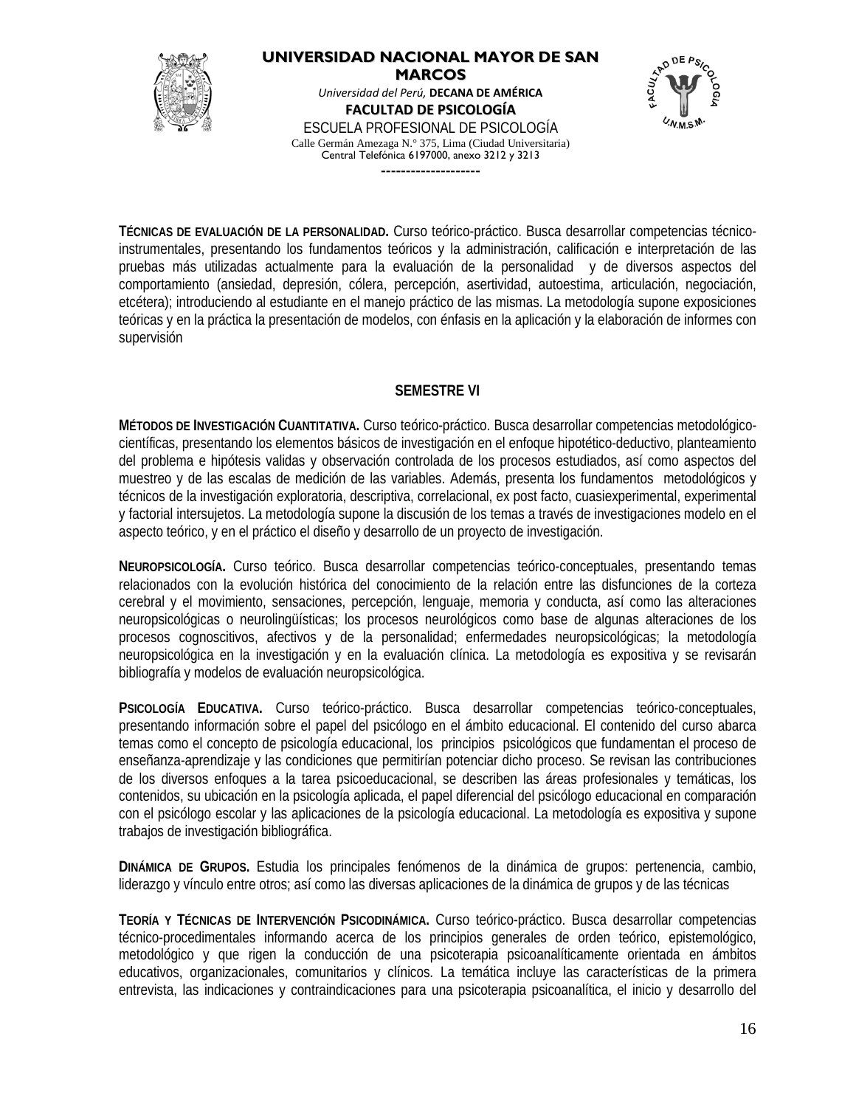

**TÉCNICAS DE EVALUACIÓN DE LA PERSONALIDAD.** Curso teórico-práctico. Busca desarrollar competencias técnicoinstrumentales, presentando los fundamentos teóricos y la administración, calificación e interpretación de las pruebas más utilizadas actualmente para la evaluación de la personalidad y de diversos aspectos del comportamiento (ansiedad, depresión, cólera, percepción, asertividad, autoestima, articulación, negociación, etcétera); introduciendo al estudiante en el manejo práctico de las mismas. La metodología supone exposiciones teóricas y en la práctica la presentación de modelos, con énfasis en la aplicación y la elaboración de informes con supervisión

#### **SEMESTRE VI**

**MÉTODOS DE INVESTIGACIÓN CUANTITATIVA.** Curso teórico-práctico. Busca desarrollar competencias metodológicocientíficas, presentando los elementos básicos de investigación en el enfoque hipotético-deductivo, planteamiento del problema e hipótesis validas y observación controlada de los procesos estudiados, así como aspectos del muestreo y de las escalas de medición de las variables. Además, presenta los fundamentos metodológicos y técnicos de la investigación exploratoria, descriptiva, correlacional, ex post facto, cuasiexperimental, experimental y factorial intersujetos. La metodología supone la discusión de los temas a través de investigaciones modelo en el aspecto teórico, y en el práctico el diseño y desarrollo de un proyecto de investigación.

**NEUROPSICOLOGÍA.** Curso teórico. Busca desarrollar competencias teórico-conceptuales, presentando temas relacionados con la evolución histórica del conocimiento de la relación entre las disfunciones de la corteza cerebral y el movimiento, sensaciones, percepción, lenguaje, memoria y conducta, así como las alteraciones neuropsicológicas o neurolingüísticas; los procesos neurológicos como base de algunas alteraciones de los procesos cognoscitivos, afectivos y de la personalidad; enfermedades neuropsicológicas; la metodología neuropsicológica en la investigación y en la evaluación clínica. La metodología es expositiva y se revisarán bibliografía y modelos de evaluación neuropsicológica.

**PSICOLOGÍA EDUCATIVA.** Curso teórico-práctico. Busca desarrollar competencias teórico-conceptuales, presentando información sobre el papel del psicólogo en el ámbito educacional. El contenido del curso abarca temas como el concepto de psicología educacional, los principios psicológicos que fundamentan el proceso de enseñanza-aprendizaje y las condiciones que permitirían potenciar dicho proceso. Se revisan las contribuciones de los diversos enfoques a la tarea psicoeducacional, se describen las áreas profesionales y temáticas, los contenidos, su ubicación en la psicología aplicada, el papel diferencial del psicólogo educacional en comparación con el psicólogo escolar y las aplicaciones de la psicología educacional. La metodología es expositiva y supone trabajos de investigación bibliográfica.

**DINÁMICA DE GRUPOS.** Estudia los principales fenómenos de la dinámica de grupos: pertenencia, cambio, liderazgo y vínculo entre otros; así como las diversas aplicaciones de la dinámica de grupos y de las técnicas

**TEORÍA Y TÉCNICAS DE INTERVENCIÓN PSICODINÁMICA.** Curso teórico-práctico. Busca desarrollar competencias técnico-procedimentales informando acerca de los principios generales de orden teórico, epistemológico, metodológico y que rigen la conducción de una psicoterapia psicoanalíticamente orientada en ámbitos educativos, organizacionales, comunitarios y clínicos. La temática incluye las características de la primera entrevista, las indicaciones y contraindicaciones para una psicoterapia psicoanalítica, el inicio y desarrollo del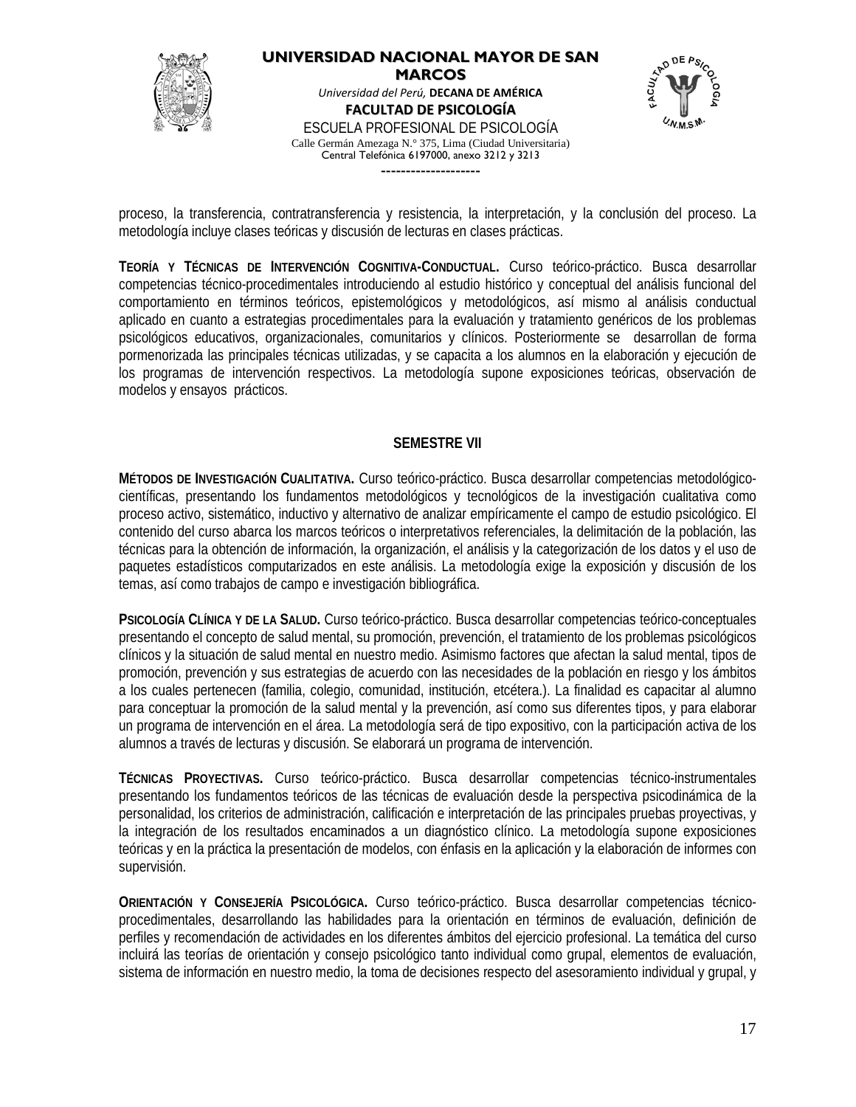

proceso, la transferencia, contratransferencia y resistencia, la interpretación, y la conclusión del proceso. La metodología incluye clases teóricas y discusión de lecturas en clases prácticas.

**TEORÍA Y TÉCNICAS DE INTERVENCIÓN COGNITIVA-CONDUCTUAL.** Curso teórico-práctico. Busca desarrollar competencias técnico-procedimentales introduciendo al estudio histórico y conceptual del análisis funcional del comportamiento en términos teóricos, epistemológicos y metodológicos, así mismo al análisis conductual aplicado en cuanto a estrategias procedimentales para la evaluación y tratamiento genéricos de los problemas psicológicos educativos, organizacionales, comunitarios y clínicos. Posteriormente se desarrollan de forma pormenorizada las principales técnicas utilizadas, y se capacita a los alumnos en la elaboración y ejecución de los programas de intervención respectivos. La metodología supone exposiciones teóricas, observación de modelos y ensayos prácticos.

#### **SEMESTRE VII**

**MÉTODOS DE INVESTIGACIÓN CUALITATIVA.** Curso teórico-práctico. Busca desarrollar competencias metodológicocientíficas, presentando los fundamentos metodológicos y tecnológicos de la investigación cualitativa como proceso activo, sistemático, inductivo y alternativo de analizar empíricamente el campo de estudio psicológico. El contenido del curso abarca los marcos teóricos o interpretativos referenciales, la delimitación de la población, las técnicas para la obtención de información, la organización, el análisis y la categorización de los datos y el uso de paquetes estadísticos computarizados en este análisis. La metodología exige la exposición y discusión de los temas, así como trabajos de campo e investigación bibliográfica.

**PSICOLOGÍA CLÍNICA Y DE LA SALUD.** Curso teórico-práctico. Busca desarrollar competencias teórico-conceptuales presentando el concepto de salud mental, su promoción, prevención, el tratamiento de los problemas psicológicos clínicos y la situación de salud mental en nuestro medio. Asimismo factores que afectan la salud mental, tipos de promoción, prevención y sus estrategias de acuerdo con las necesidades de la población en riesgo y los ámbitos a los cuales pertenecen (familia, colegio, comunidad, institución, etcétera.). La finalidad es capacitar al alumno para conceptuar la promoción de la salud mental y la prevención, así como sus diferentes tipos, y para elaborar un programa de intervención en el área. La metodología será de tipo expositivo, con la participación activa de los alumnos a través de lecturas y discusión. Se elaborará un programa de intervención.

**TÉCNICAS PROYECTIVAS.** Curso teórico-práctico. Busca desarrollar competencias técnico-instrumentales presentando los fundamentos teóricos de las técnicas de evaluación desde la perspectiva psicodinámica de la personalidad, los criterios de administración, calificación e interpretación de las principales pruebas proyectivas, y la integración de los resultados encaminados a un diagnóstico clínico. La metodología supone exposiciones teóricas y en la práctica la presentación de modelos, con énfasis en la aplicación y la elaboración de informes con supervisión.

**ORIENTACIÓN Y CONSEJERÍA PSICOLÓGICA.** Curso teórico-práctico. Busca desarrollar competencias técnicoprocedimentales, desarrollando las habilidades para la orientación en términos de evaluación, definición de perfiles y recomendación de actividades en los diferentes ámbitos del ejercicio profesional. La temática del curso incluirá las teorías de orientación y consejo psicológico tanto individual como grupal, elementos de evaluación, sistema de información en nuestro medio, la toma de decisiones respecto del asesoramiento individual y grupal, y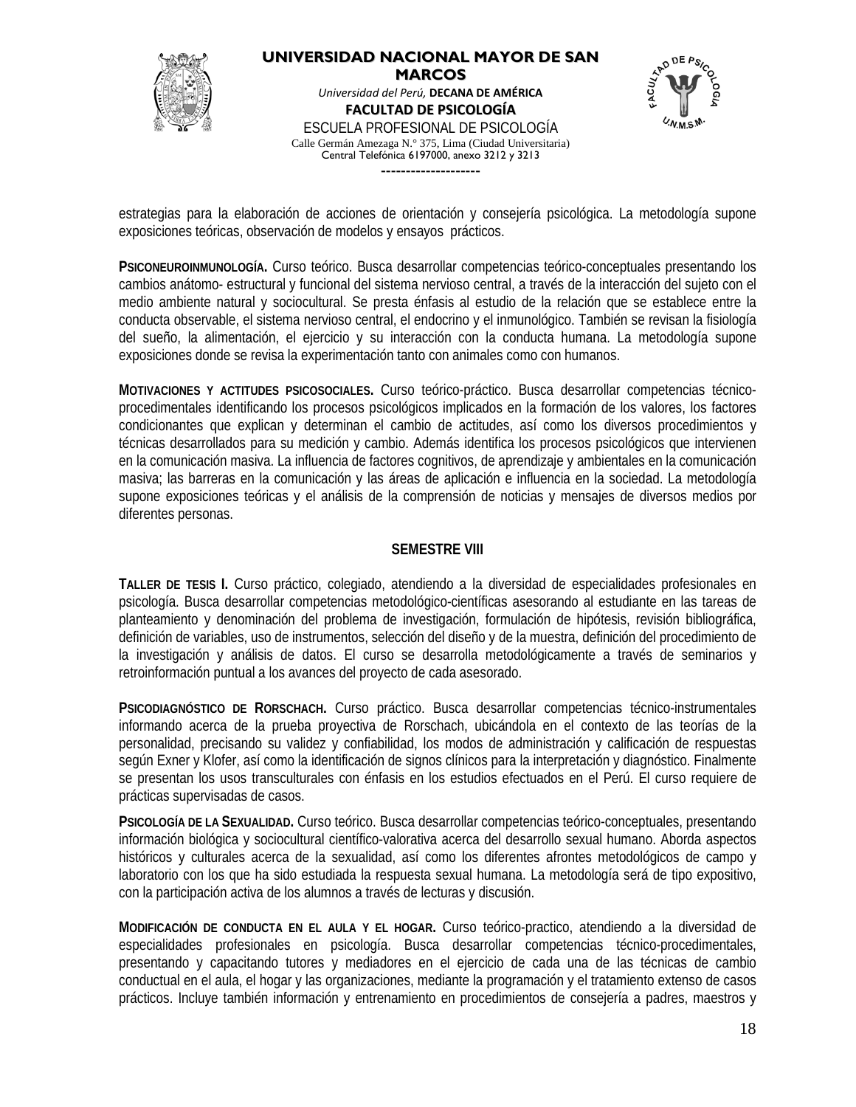

estrategias para la elaboración de acciones de orientación y consejería psicológica. La metodología supone exposiciones teóricas, observación de modelos y ensayos prácticos.

**PSICONEUROINMUNOLOGÍA.** Curso teórico. Busca desarrollar competencias teórico-conceptuales presentando los cambios anátomo- estructural y funcional del sistema nervioso central, a través de la interacción del sujeto con el medio ambiente natural y sociocultural. Se presta énfasis al estudio de la relación que se establece entre la conducta observable, el sistema nervioso central, el endocrino y el inmunológico. También se revisan la fisiología del sueño, la alimentación, el ejercicio y su interacción con la conducta humana. La metodología supone exposiciones donde se revisa la experimentación tanto con animales como con humanos.

**MOTIVACIONES Y ACTITUDES PSICOSOCIALES.** Curso teórico-práctico. Busca desarrollar competencias técnicoprocedimentales identificando los procesos psicológicos implicados en la formación de los valores, los factores condicionantes que explican y determinan el cambio de actitudes, así como los diversos procedimientos y técnicas desarrollados para su medición y cambio. Además identifica los procesos psicológicos que intervienen en la comunicación masiva. La influencia de factores cognitivos, de aprendizaje y ambientales en la comunicación masiva; las barreras en la comunicación y las áreas de aplicación e influencia en la sociedad. La metodología supone exposiciones teóricas y el análisis de la comprensión de noticias y mensajes de diversos medios por diferentes personas.

#### **SEMESTRE VIII**

**TALLER DE TESIS I.** Curso práctico, colegiado, atendiendo a la diversidad de especialidades profesionales en psicología. Busca desarrollar competencias metodológico-científicas asesorando al estudiante en las tareas de planteamiento y denominación del problema de investigación, formulación de hipótesis, revisión bibliográfica, definición de variables, uso de instrumentos, selección del diseño y de la muestra, definición del procedimiento de la investigación y análisis de datos. El curso se desarrolla metodológicamente a través de seminarios y retroinformación puntual a los avances del proyecto de cada asesorado.

**PSICODIAGNÓSTICO DE RORSCHACH.** Curso práctico. Busca desarrollar competencias técnico-instrumentales informando acerca de la prueba proyectiva de Rorschach, ubicándola en el contexto de las teorías de la personalidad, precisando su validez y confiabilidad, los modos de administración y calificación de respuestas según Exner y Klofer, así como la identificación de signos clínicos para la interpretación y diagnóstico. Finalmente se presentan los usos transculturales con énfasis en los estudios efectuados en el Perú. El curso requiere de prácticas supervisadas de casos.

**PSICOLOGÍA DE LA SEXUALIDAD.** Curso teórico. Busca desarrollar competencias teórico-conceptuales, presentando información biológica y sociocultural científico-valorativa acerca del desarrollo sexual humano. Aborda aspectos históricos y culturales acerca de la sexualidad, así como los diferentes afrontes metodológicos de campo y laboratorio con los que ha sido estudiada la respuesta sexual humana. La metodología será de tipo expositivo, con la participación activa de los alumnos a través de lecturas y discusión.

**MODIFICACIÓN DE CONDUCTA EN EL AULA Y EL HOGAR.** Curso teórico-practico, atendiendo a la diversidad de especialidades profesionales en psicología. Busca desarrollar competencias técnico-procedimentales, presentando y capacitando tutores y mediadores en el ejercicio de cada una de las técnicas de cambio conductual en el aula, el hogar y las organizaciones, mediante la programación y el tratamiento extenso de casos prácticos. Incluye también información y entrenamiento en procedimientos de consejería a padres, maestros y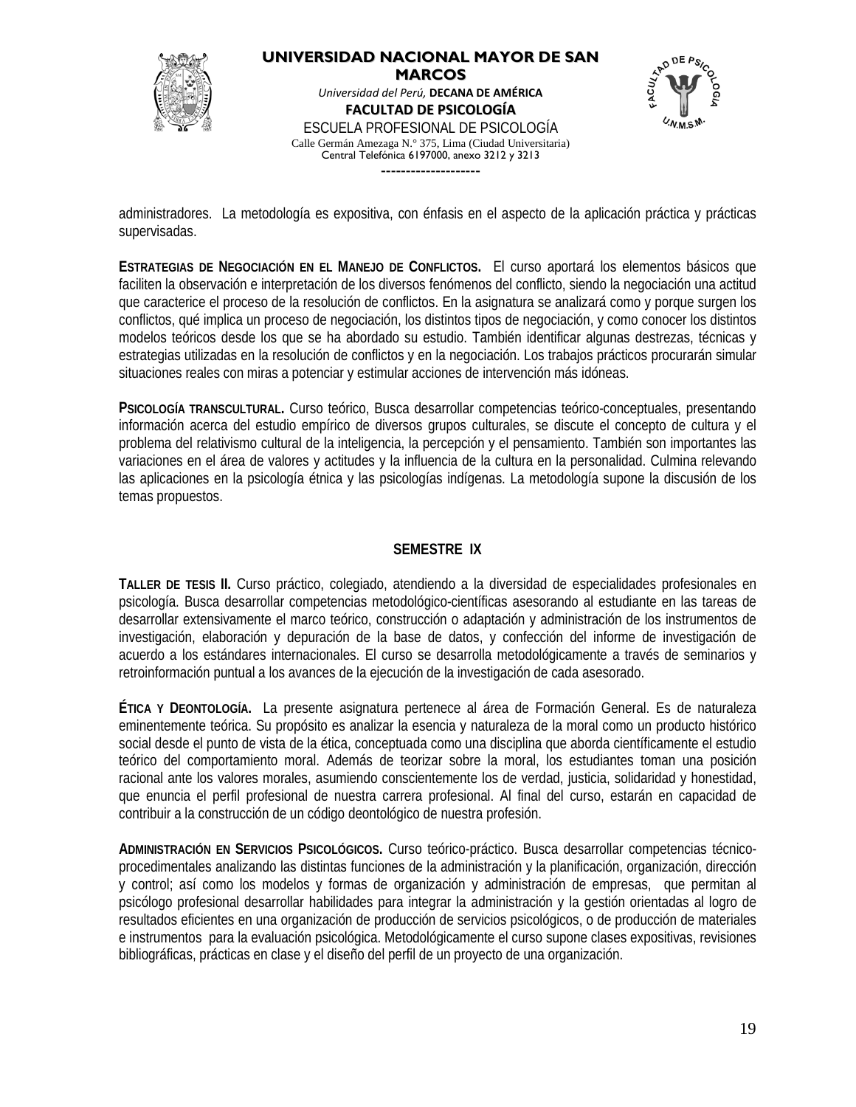

administradores. La metodología es expositiva, con énfasis en el aspecto de la aplicación práctica y prácticas supervisadas.

**ESTRATEGIAS DE NEGOCIACIÓN EN EL MANEJO DE CONFLICTOS.** El curso aportará los elementos básicos que faciliten la observación e interpretación de los diversos fenómenos del conflicto, siendo la negociación una actitud que caracterice el proceso de la resolución de conflictos. En la asignatura se analizará como y porque surgen los conflictos, qué implica un proceso de negociación, los distintos tipos de negociación, y como conocer los distintos modelos teóricos desde los que se ha abordado su estudio. También identificar algunas destrezas, técnicas y estrategias utilizadas en la resolución de conflictos y en la negociación. Los trabajos prácticos procurarán simular situaciones reales con miras a potenciar y estimular acciones de intervención más idóneas.

**PSICOLOGÍA TRANSCULTURAL.** Curso teórico, Busca desarrollar competencias teórico-conceptuales, presentando información acerca del estudio empírico de diversos grupos culturales, se discute el concepto de cultura y el problema del relativismo cultural de la inteligencia, la percepción y el pensamiento. También son importantes las variaciones en el área de valores y actitudes y la influencia de la cultura en la personalidad. Culmina relevando las aplicaciones en la psicología étnica y las psicologías indígenas. La metodología supone la discusión de los temas propuestos.

#### **SEMESTRE IX**

**TALLER DE TESIS II.** Curso práctico, colegiado, atendiendo a la diversidad de especialidades profesionales en psicología. Busca desarrollar competencias metodológico-científicas asesorando al estudiante en las tareas de desarrollar extensivamente el marco teórico, construcción o adaptación y administración de los instrumentos de investigación, elaboración y depuración de la base de datos, y confección del informe de investigación de acuerdo a los estándares internacionales. El curso se desarrolla metodológicamente a través de seminarios y retroinformación puntual a los avances de la ejecución de la investigación de cada asesorado.

**ÉTICA Y DEONTOLOGÍA.** La presente asignatura pertenece al área de Formación General. Es de naturaleza eminentemente teórica. Su propósito es analizar la esencia y naturaleza de la moral como un producto histórico social desde el punto de vista de la ética, conceptuada como una disciplina que aborda científicamente el estudio teórico del comportamiento moral. Además de teorizar sobre la moral, los estudiantes toman una posición racional ante los valores morales, asumiendo conscientemente los de verdad, justicia, solidaridad y honestidad, que enuncia el perfil profesional de nuestra carrera profesional. Al final del curso, estarán en capacidad de contribuir a la construcción de un código deontológico de nuestra profesión.

**ADMINISTRACIÓN EN SERVICIOS PSICOLÓGICOS.** Curso teórico-práctico. Busca desarrollar competencias técnicoprocedimentales analizando las distintas funciones de la administración y la planificación, organización, dirección y control; así como los modelos y formas de organización y administración de empresas, que permitan al psicólogo profesional desarrollar habilidades para integrar la administración y la gestión orientadas al logro de resultados eficientes en una organización de producción de servicios psicológicos, o de producción de materiales e instrumentos para la evaluación psicológica. Metodológicamente el curso supone clases expositivas, revisiones bibliográficas, prácticas en clase y el diseño del perfil de un proyecto de una organización.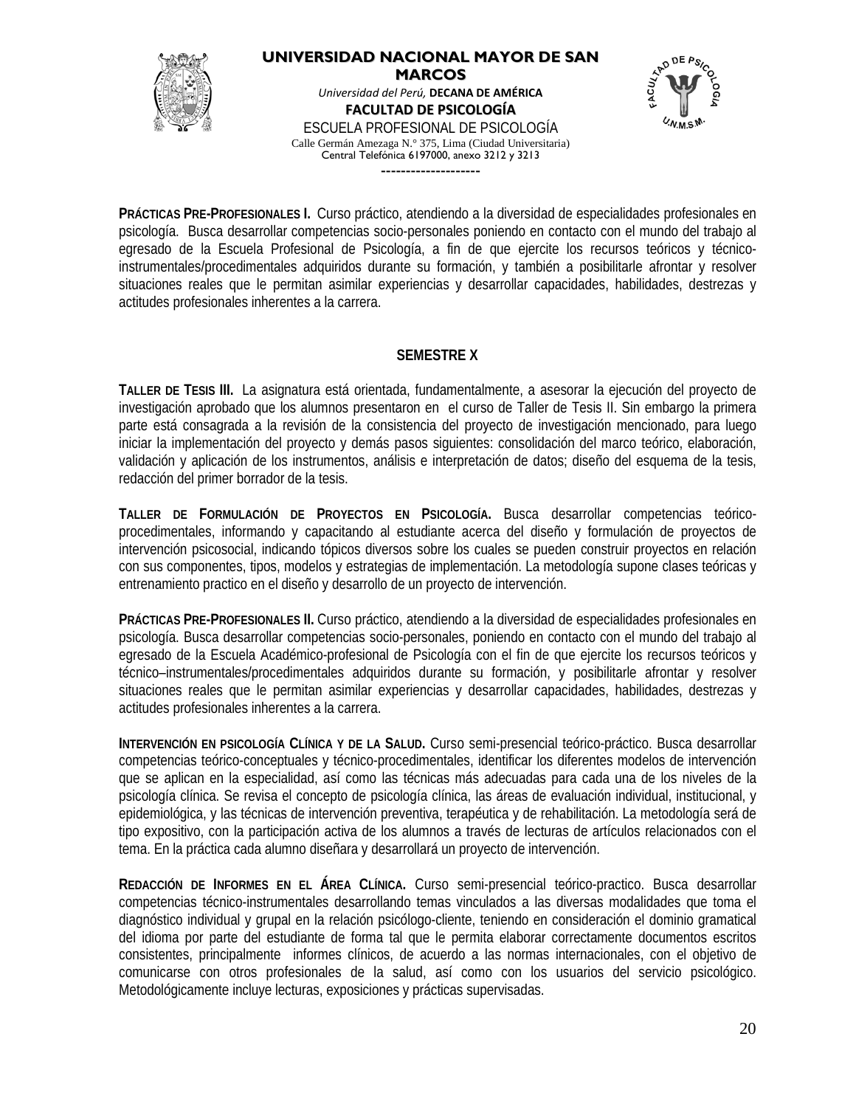

**PRÁCTICAS PRE-PROFESIONALES I.** Curso práctico, atendiendo a la diversidad de especialidades profesionales en psicología. Busca desarrollar competencias socio-personales poniendo en contacto con el mundo del trabajo al egresado de la Escuela Profesional de Psicología, a fin de que ejercite los recursos teóricos y técnicoinstrumentales/procedimentales adquiridos durante su formación, y también a posibilitarle afrontar y resolver situaciones reales que le permitan asimilar experiencias y desarrollar capacidades, habilidades, destrezas y actitudes profesionales inherentes a la carrera.

#### **SEMESTRE X**

**TALLER DE TESIS III.** La asignatura está orientada, fundamentalmente, a asesorar la ejecución del proyecto de investigación aprobado que los alumnos presentaron en el curso de Taller de Tesis II. Sin embargo la primera parte está consagrada a la revisión de la consistencia del proyecto de investigación mencionado, para luego iniciar la implementación del proyecto y demás pasos siguientes: consolidación del marco teórico, elaboración, validación y aplicación de los instrumentos, análisis e interpretación de datos; diseño del esquema de la tesis, redacción del primer borrador de la tesis.

**TALLER DE FORMULACIÓN DE PROYECTOS EN PSICOLOGÍA.** Busca desarrollar competencias teóricoprocedimentales, informando y capacitando al estudiante acerca del diseño y formulación de proyectos de intervención psicosocial, indicando tópicos diversos sobre los cuales se pueden construir proyectos en relación con sus componentes, tipos, modelos y estrategias de implementación. La metodología supone clases teóricas y entrenamiento practico en el diseño y desarrollo de un proyecto de intervención.

**PRÁCTICAS PRE-PROFESIONALES II.** Curso práctico, atendiendo a la diversidad de especialidades profesionales en psicología. Busca desarrollar competencias socio-personales, poniendo en contacto con el mundo del trabajo al egresado de la Escuela Académico-profesional de Psicología con el fin de que ejercite los recursos teóricos y técnico–instrumentales/procedimentales adquiridos durante su formación, y posibilitarle afrontar y resolver situaciones reales que le permitan asimilar experiencias y desarrollar capacidades, habilidades, destrezas y actitudes profesionales inherentes a la carrera.

**INTERVENCIÓN EN PSICOLOGÍA CLÍNICA Y DE LA SALUD.** Curso semi-presencial teórico-práctico. Busca desarrollar competencias teórico-conceptuales y técnico-procedimentales, identificar los diferentes modelos de intervención que se aplican en la especialidad, así como las técnicas más adecuadas para cada una de los niveles de la psicología clínica. Se revisa el concepto de psicología clínica, las áreas de evaluación individual, institucional, y epidemiológica, y las técnicas de intervención preventiva, terapéutica y de rehabilitación. La metodología será de tipo expositivo, con la participación activa de los alumnos a través de lecturas de artículos relacionados con el tema. En la práctica cada alumno diseñara y desarrollará un proyecto de intervención.

**REDACCIÓN DE INFORMES EN EL ÁREA CLÍNICA.** Curso semi-presencial teórico-practico. Busca desarrollar competencias técnico-instrumentales desarrollando temas vinculados a las diversas modalidades que toma el diagnóstico individual y grupal en la relación psicólogo-cliente, teniendo en consideración el dominio gramatical del idioma por parte del estudiante de forma tal que le permita elaborar correctamente documentos escritos consistentes, principalmente informes clínicos, de acuerdo a las normas internacionales, con el objetivo de comunicarse con otros profesionales de la salud, así como con los usuarios del servicio psicológico. Metodológicamente incluye lecturas, exposiciones y prácticas supervisadas.